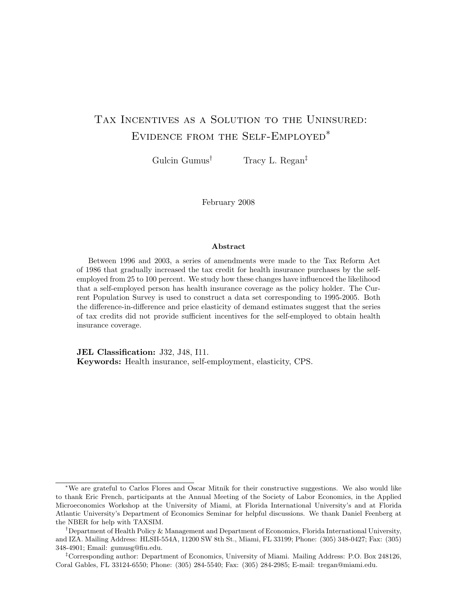# TAX INCENTIVES AS A SOLUTION TO THE UNINSURED: Evidence from the Self-Employed∗

Gulcin Gumus<sup>†</sup> Tracy L. Regan<sup>‡</sup>

February 2008

#### Abstract

Between 1996 and 2003, a series of amendments were made to the Tax Reform Act of 1986 that gradually increased the tax credit for health insurance purchases by the selfemployed from 25 to 100 percent. We study how these changes have influenced the likelihood that a self-employed person has health insurance coverage as the policy holder. The Current Population Survey is used to construct a data set corresponding to 1995-2005. Both the difference-in-difference and price elasticity of demand estimates suggest that the series of tax credits did not provide sufficient incentives for the self-employed to obtain health insurance coverage.

JEL Classification: J32, J48, I11. Keywords: Health insurance, self-employment, elasticity, CPS.

‡Corresponding author: Department of Economics, University of Miami. Mailing Address: P.O. Box 248126, Coral Gables, FL 33124-6550; Phone: (305) 284-5540; Fax: (305) 284-2985; E-mail: tregan@miami.edu.

<sup>∗</sup>We are grateful to Carlos Flores and Oscar Mitnik for their constructive suggestions. We also would like to thank Eric French, participants at the Annual Meeting of the Society of Labor Economics, in the Applied Microeconomics Workshop at the University of Miami, at Florida International University's and at Florida Atlantic University's Department of Economics Seminar for helpful discussions. We thank Daniel Feenberg at the NBER for help with TAXSIM.

<sup>†</sup>Department of Health Policy & Management and Department of Economics, Florida International University, and IZA. Mailing Address: HLSII-554A, 11200 SW 8th St., Miami, FL 33199; Phone: (305) 348-0427; Fax: (305) 348-4901; Email: gumusg@fiu.edu.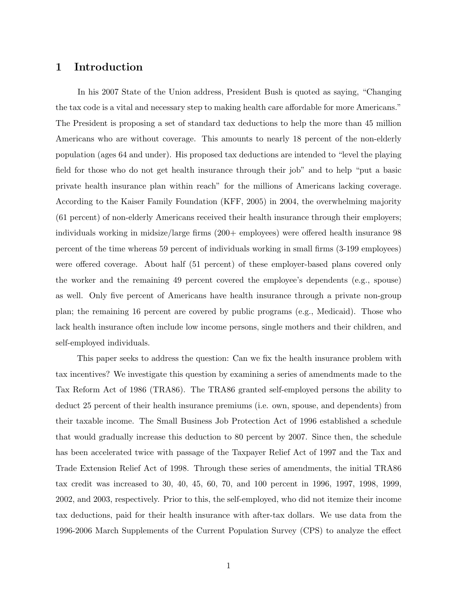#### 1 Introduction

In his 2007 State of the Union address, President Bush is quoted as saying, "Changing the tax code is a vital and necessary step to making health care affordable for more Americans." The President is proposing a set of standard tax deductions to help the more than 45 million Americans who are without coverage. This amounts to nearly 18 percent of the non-elderly population (ages 64 and under). His proposed tax deductions are intended to "level the playing field for those who do not get health insurance through their job" and to help "put a basic private health insurance plan within reach" for the millions of Americans lacking coverage. According to the Kaiser Family Foundation (KFF, 2005) in 2004, the overwhelming majority (61 percent) of non-elderly Americans received their health insurance through their employers; individuals working in midsize/large firms (200+ employees) were offered health insurance 98 percent of the time whereas 59 percent of individuals working in small firms (3-199 employees) were offered coverage. About half (51 percent) of these employer-based plans covered only the worker and the remaining 49 percent covered the employee's dependents (e.g., spouse) as well. Only five percent of Americans have health insurance through a private non-group plan; the remaining 16 percent are covered by public programs (e.g., Medicaid). Those who lack health insurance often include low income persons, single mothers and their children, and self-employed individuals.

This paper seeks to address the question: Can we fix the health insurance problem with tax incentives? We investigate this question by examining a series of amendments made to the Tax Reform Act of 1986 (TRA86). The TRA86 granted self-employed persons the ability to deduct 25 percent of their health insurance premiums (i.e. own, spouse, and dependents) from their taxable income. The Small Business Job Protection Act of 1996 established a schedule that would gradually increase this deduction to 80 percent by 2007. Since then, the schedule has been accelerated twice with passage of the Taxpayer Relief Act of 1997 and the Tax and Trade Extension Relief Act of 1998. Through these series of amendments, the initial TRA86 tax credit was increased to 30, 40, 45, 60, 70, and 100 percent in 1996, 1997, 1998, 1999, 2002, and 2003, respectively. Prior to this, the self-employed, who did not itemize their income tax deductions, paid for their health insurance with after-tax dollars. We use data from the 1996-2006 March Supplements of the Current Population Survey (CPS) to analyze the effect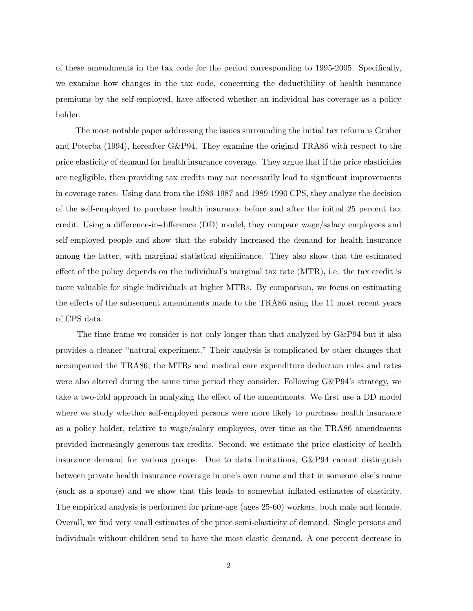of these amendments in the tax code for the period corresponding to 1995-2005. Specifically, we examine how changes in the tax code, concerning the deductibility of health insurance premiums by the self-employed, have affected whether an individual has coverage as a policy holder.

The most notable paper addressing the issues surrounding the initial tax reform is Gruber and Poterba (1994), hereafter G&P94. They examine the original TRA86 with respect to the price elasticity of demand for health insurance coverage. They argue that if the price elasticities are negligible, then providing tax credits may not necessarily lead to significant improvements in coverage rates. Using data from the 1986-1987 and 1989-1990 CPS, they analyze the decision of the self-employed to purchase health insurance before and after the initial 25 percent tax credit. Using a difference-in-difference (DD) model, they compare wage/salary employees and self-employed people and show that the subsidy increased the demand for health insurance among the latter, with marginal statistical significance. They also show that the estimated effect of the policy depends on the individual's marginal tax rate (MTR), i.e. the tax credit is more valuable for single individuals at higher MTRs. By comparison, we focus on estimating the effects of the subsequent amendments made to the TRA86 using the 11 most recent years of CPS data.

The time frame we consider is not only longer than that analyzed by G&P94 but it also provides a cleaner "natural experiment." Their analysis is complicated by other changes that accompanied the TRA86; the MTRs and medical care expenditure deduction rules and rates were also altered during the same time period they consider. Following G&P94's strategy, we take a two-fold approach in analyzing the effect of the amendments. We first use a DD model where we study whether self-employed persons were more likely to purchase health insurance as a policy holder, relative to wage/salary employees, over time as the TRA86 amendments provided increasingly generous tax credits. Second, we estimate the price elasticity of health insurance demand for various groups. Due to data limitations, G&P94 cannot distinguish between private health insurance coverage in one's own name and that in someone else's name (such as a spouse) and we show that this leads to somewhat inflated estimates of elasticity. The empirical analysis is performed for prime-age (ages 25-60) workers, both male and female. Overall, we find very small estimates of the price semi-elasticity of demand. Single persons and individuals without children tend to have the most elastic demand. A one percent decrease in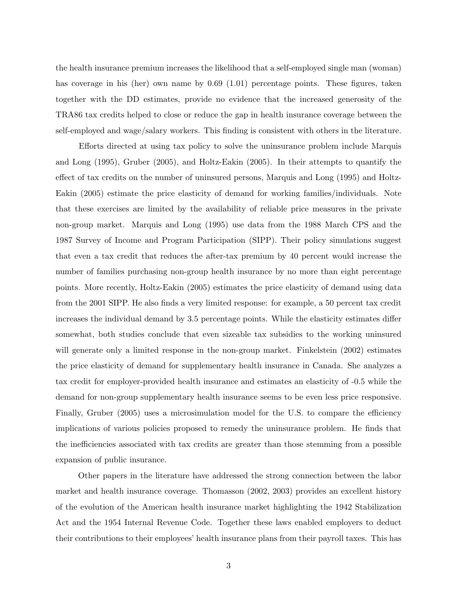the health insurance premium increases the likelihood that a self-employed single man (woman) has coverage in his (her) own name by 0.69 (1.01) percentage points. These figures, taken together with the DD estimates, provide no evidence that the increased generosity of the TRA86 tax credits helped to close or reduce the gap in health insurance coverage between the self-employed and wage/salary workers. This finding is consistent with others in the literature.

Efforts directed at using tax policy to solve the uninsurance problem include Marquis and Long (1995), Gruber (2005), and Holtz-Eakin (2005). In their attempts to quantify the effect of tax credits on the number of uninsured persons, Marquis and Long (1995) and Holtz-Eakin (2005) estimate the price elasticity of demand for working families/individuals. Note that these exercises are limited by the availability of reliable price measures in the private non-group market. Marquis and Long (1995) use data from the 1988 March CPS and the 1987 Survey of Income and Program Participation (SIPP). Their policy simulations suggest that even a tax credit that reduces the after-tax premium by 40 percent would increase the number of families purchasing non-group health insurance by no more than eight percentage points. More recently, Holtz-Eakin (2005) estimates the price elasticity of demand using data from the 2001 SIPP. He also finds a very limited response: for example, a 50 percent tax credit increases the individual demand by 3.5 percentage points. While the elasticity estimates differ somewhat, both studies conclude that even sizeable tax subsidies to the working uninsured will generate only a limited response in the non-group market. Finkelstein (2002) estimates the price elasticity of demand for supplementary health insurance in Canada. She analyzes a tax credit for employer-provided health insurance and estimates an elasticity of -0.5 while the demand for non-group supplementary health insurance seems to be even less price responsive. Finally, Gruber (2005) uses a microsimulation model for the U.S. to compare the efficiency implications of various policies proposed to remedy the uninsurance problem. He finds that the inefficiencies associated with tax credits are greater than those stemming from a possible expansion of public insurance.

Other papers in the literature have addressed the strong connection between the labor market and health insurance coverage. Thomasson (2002, 2003) provides an excellent history of the evolution of the American health insurance market highlighting the 1942 Stabilization Act and the 1954 Internal Revenue Code. Together these laws enabled employers to deduct their contributions to their employees' health insurance plans from their payroll taxes. This has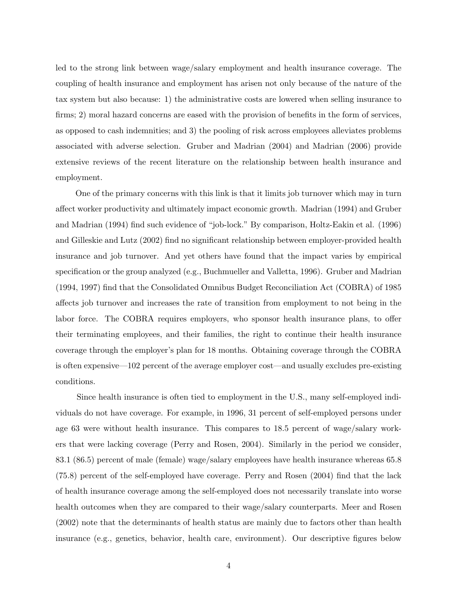led to the strong link between wage/salary employment and health insurance coverage. The coupling of health insurance and employment has arisen not only because of the nature of the tax system but also because: 1) the administrative costs are lowered when selling insurance to firms; 2) moral hazard concerns are eased with the provision of benefits in the form of services, as opposed to cash indemnities; and 3) the pooling of risk across employees alleviates problems associated with adverse selection. Gruber and Madrian (2004) and Madrian (2006) provide extensive reviews of the recent literature on the relationship between health insurance and employment.

One of the primary concerns with this link is that it limits job turnover which may in turn affect worker productivity and ultimately impact economic growth. Madrian (1994) and Gruber and Madrian (1994) find such evidence of "job-lock." By comparison, Holtz-Eakin et al. (1996) and Gilleskie and Lutz (2002) find no significant relationship between employer-provided health insurance and job turnover. And yet others have found that the impact varies by empirical specification or the group analyzed (e.g., Buchmueller and Valletta, 1996). Gruber and Madrian (1994, 1997) find that the Consolidated Omnibus Budget Reconciliation Act (COBRA) of 1985 affects job turnover and increases the rate of transition from employment to not being in the labor force. The COBRA requires employers, who sponsor health insurance plans, to offer their terminating employees, and their families, the right to continue their health insurance coverage through the employer's plan for 18 months. Obtaining coverage through the COBRA is often expensive—102 percent of the average employer cost—and usually excludes pre-existing conditions.

Since health insurance is often tied to employment in the U.S., many self-employed individuals do not have coverage. For example, in 1996, 31 percent of self-employed persons under age 63 were without health insurance. This compares to 18.5 percent of wage/salary workers that were lacking coverage (Perry and Rosen, 2004). Similarly in the period we consider, 83.1 (86.5) percent of male (female) wage/salary employees have health insurance whereas 65.8 (75.8) percent of the self-employed have coverage. Perry and Rosen (2004) find that the lack of health insurance coverage among the self-employed does not necessarily translate into worse health outcomes when they are compared to their wage/salary counterparts. Meer and Rosen (2002) note that the determinants of health status are mainly due to factors other than health insurance (e.g., genetics, behavior, health care, environment). Our descriptive figures below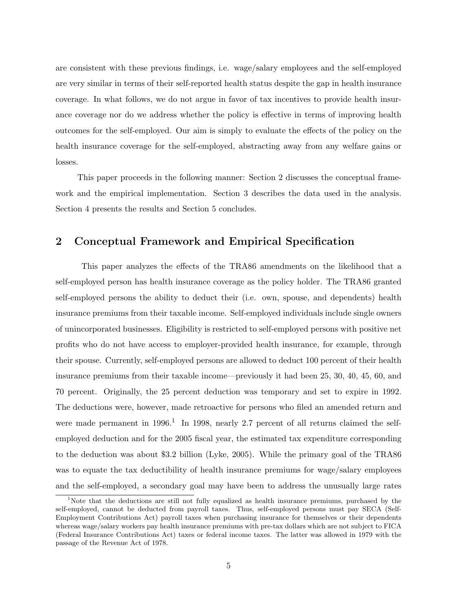are consistent with these previous findings, i.e. wage/salary employees and the self-employed are very similar in terms of their self-reported health status despite the gap in health insurance coverage. In what follows, we do not argue in favor of tax incentives to provide health insurance coverage nor do we address whether the policy is effective in terms of improving health outcomes for the self-employed. Our aim is simply to evaluate the effects of the policy on the health insurance coverage for the self-employed, abstracting away from any welfare gains or losses.

This paper proceeds in the following manner: Section 2 discusses the conceptual framework and the empirical implementation. Section 3 describes the data used in the analysis. Section 4 presents the results and Section 5 concludes.

### 2 Conceptual Framework and Empirical Specification

This paper analyzes the effects of the TRA86 amendments on the likelihood that a self-employed person has health insurance coverage as the policy holder. The TRA86 granted self-employed persons the ability to deduct their (i.e. own, spouse, and dependents) health insurance premiums from their taxable income. Self-employed individuals include single owners of unincorporated businesses. Eligibility is restricted to self-employed persons with positive net profits who do not have access to employer-provided health insurance, for example, through their spouse. Currently, self-employed persons are allowed to deduct 100 percent of their health insurance premiums from their taxable income—previously it had been 25, 30, 40, 45, 60, and 70 percent. Originally, the 25 percent deduction was temporary and set to expire in 1992. The deductions were, however, made retroactive for persons who filed an amended return and were made permanent in  $1996<sup>1</sup>$  In 1998, nearly 2.7 percent of all returns claimed the selfemployed deduction and for the 2005 fiscal year, the estimated tax expenditure corresponding to the deduction was about \$3.2 billion (Lyke, 2005). While the primary goal of the TRA86 was to equate the tax deductibility of health insurance premiums for wage/salary employees and the self-employed, a secondary goal may have been to address the unusually large rates

<sup>&</sup>lt;sup>1</sup>Note that the deductions are still not fully equalized as health insurance premiums, purchased by the self-employed, cannot be deducted from payroll taxes. Thus, self-employed persons must pay SECA (Self-Employment Contributions Act) payroll taxes when purchasing insurance for themselves or their dependents whereas wage/salary workers pay health insurance premiums with pre-tax dollars which are not subject to FICA (Federal Insurance Contributions Act) taxes or federal income taxes. The latter was allowed in 1979 with the passage of the Revenue Act of 1978.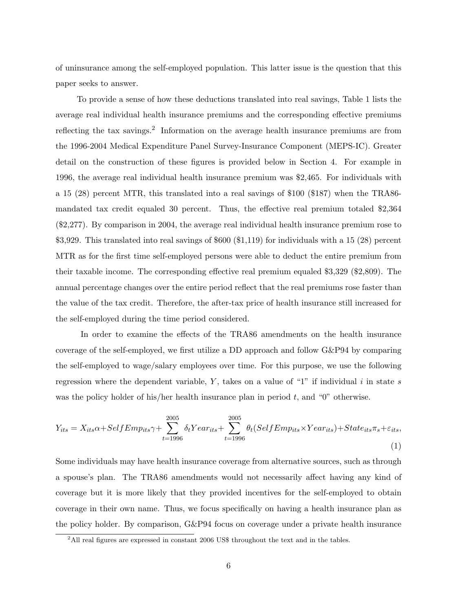of uninsurance among the self-employed population. This latter issue is the question that this paper seeks to answer.

To provide a sense of how these deductions translated into real savings, Table 1 lists the average real individual health insurance premiums and the corresponding effective premiums reflecting the tax savings.<sup>2</sup> Information on the average health insurance premiums are from the 1996-2004 Medical Expenditure Panel Survey-Insurance Component (MEPS-IC). Greater detail on the construction of these figures is provided below in Section 4. For example in 1996, the average real individual health insurance premium was \$2,465. For individuals with a 15 (28) percent MTR, this translated into a real savings of \$100 (\$187) when the TRA86 mandated tax credit equaled 30 percent. Thus, the effective real premium totaled \$2,364 (\$2,277). By comparison in 2004, the average real individual health insurance premium rose to \$3,929. This translated into real savings of \$600 (\$1,119) for individuals with a 15 (28) percent MTR as for the first time self-employed persons were able to deduct the entire premium from their taxable income. The corresponding effective real premium equaled \$3,329 (\$2,809). The annual percentage changes over the entire period reflect that the real premiums rose faster than the value of the tax credit. Therefore, the after-tax price of health insurance still increased for the self-employed during the time period considered.

In order to examine the effects of the TRA86 amendments on the health insurance coverage of the self-employed, we first utilize a DD approach and follow G&P94 by comparing the self-employed to wage/salary employees over time. For this purpose, we use the following regression where the dependent variable,  $Y$ , takes on a value of "1" if individual  $i$  in state  $s$ was the policy holder of his/her health insurance plan in period  $t$ , and "0" otherwise.

$$
Y_{its} = X_{its}\alpha + SelfEmp_{its}\gamma + \sum_{t=1996}^{2005} \delta_t Year_{its} + \sum_{t=1996}^{2005} \theta_t (SelfEmp_{its} \times Year_{its}) + State_{its}\pi_s + \varepsilon_{its},
$$
\n(1)

Some individuals may have health insurance coverage from alternative sources, such as through a spouse's plan. The TRA86 amendments would not necessarily affect having any kind of coverage but it is more likely that they provided incentives for the self-employed to obtain coverage in their own name. Thus, we focus specifically on having a health insurance plan as the policy holder. By comparison, G&P94 focus on coverage under a private health insurance

<sup>&</sup>lt;sup>2</sup>All real figures are expressed in constant 2006 US\$ throughout the text and in the tables.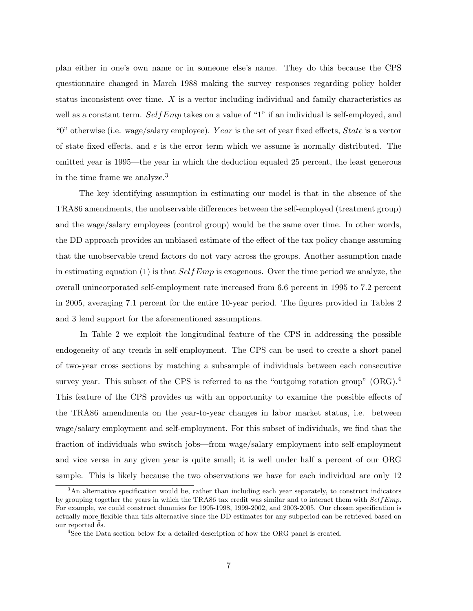plan either in one's own name or in someone else's name. They do this because the CPS questionnaire changed in March 1988 making the survey responses regarding policy holder status inconsistent over time. X is a vector including individual and family characteristics as well as a constant term.  $SelfEmp$  takes on a value of "1" if an individual is self-employed, and "0" otherwise (i.e. wage/salary employee). Year is the set of year fixed effects, State is a vector of state fixed effects, and  $\varepsilon$  is the error term which we assume is normally distributed. The omitted year is 1995—the year in which the deduction equaled 25 percent, the least generous in the time frame we analyze.<sup>3</sup>

The key identifying assumption in estimating our model is that in the absence of the TRA86 amendments, the unobservable differences between the self-employed (treatment group) and the wage/salary employees (control group) would be the same over time. In other words, the DD approach provides an unbiased estimate of the effect of the tax policy change assuming that the unobservable trend factors do not vary across the groups. Another assumption made in estimating equation (1) is that  $SelfEmp$  is exogenous. Over the time period we analyze, the overall unincorporated self-employment rate increased from 6.6 percent in 1995 to 7.2 percent in 2005, averaging 7.1 percent for the entire 10-year period. The figures provided in Tables 2 and 3 lend support for the aforementioned assumptions.

In Table 2 we exploit the longitudinal feature of the CPS in addressing the possible endogeneity of any trends in self-employment. The CPS can be used to create a short panel of two-year cross sections by matching a subsample of individuals between each consecutive survey year. This subset of the CPS is referred to as the "outgoing rotation group" (ORG).<sup>4</sup> This feature of the CPS provides us with an opportunity to examine the possible effects of the TRA86 amendments on the year-to-year changes in labor market status, i.e. between wage/salary employment and self-employment. For this subset of individuals, we find that the fraction of individuals who switch jobs—from wage/salary employment into self-employment and vice versa–in any given year is quite small; it is well under half a percent of our ORG sample. This is likely because the two observations we have for each individual are only 12

<sup>&</sup>lt;sup>3</sup>An alternative specification would be, rather than including each year separately, to construct indicators by grouping together the years in which the TRA86 tax credit was similar and to interact them with  $SelfEmp$ . For example, we could construct dummies for 1995-1998, 1999-2002, and 2003-2005. Our chosen specification is actually more flexible than this alternative since the DD estimates for any subperiod can be retrieved based on our reported  $\theta$ s.

<sup>4</sup>See the Data section below for a detailed description of how the ORG panel is created.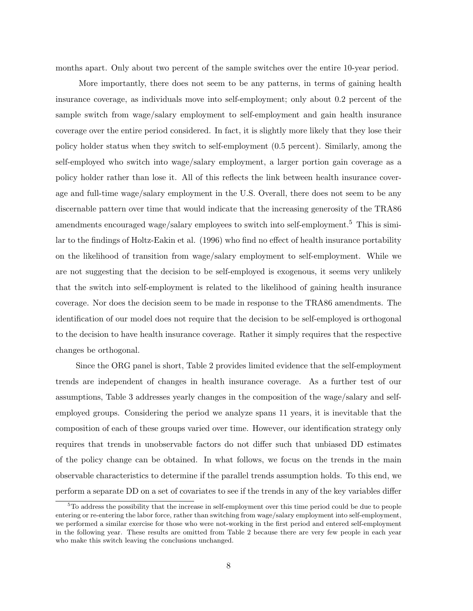months apart. Only about two percent of the sample switches over the entire 10-year period.

More importantly, there does not seem to be any patterns, in terms of gaining health insurance coverage, as individuals move into self-employment; only about 0.2 percent of the sample switch from wage/salary employment to self-employment and gain health insurance coverage over the entire period considered. In fact, it is slightly more likely that they lose their policy holder status when they switch to self-employment (0.5 percent). Similarly, among the self-employed who switch into wage/salary employment, a larger portion gain coverage as a policy holder rather than lose it. All of this reflects the link between health insurance coverage and full-time wage/salary employment in the U.S. Overall, there does not seem to be any discernable pattern over time that would indicate that the increasing generosity of the TRA86 amendments encouraged wage/salary employees to switch into self-employment.<sup>5</sup> This is similar to the findings of Holtz-Eakin et al. (1996) who find no effect of health insurance portability on the likelihood of transition from wage/salary employment to self-employment. While we are not suggesting that the decision to be self-employed is exogenous, it seems very unlikely that the switch into self-employment is related to the likelihood of gaining health insurance coverage. Nor does the decision seem to be made in response to the TRA86 amendments. The identification of our model does not require that the decision to be self-employed is orthogonal to the decision to have health insurance coverage. Rather it simply requires that the respective changes be orthogonal.

Since the ORG panel is short, Table 2 provides limited evidence that the self-employment trends are independent of changes in health insurance coverage. As a further test of our assumptions, Table 3 addresses yearly changes in the composition of the wage/salary and selfemployed groups. Considering the period we analyze spans 11 years, it is inevitable that the composition of each of these groups varied over time. However, our identification strategy only requires that trends in unobservable factors do not differ such that unbiased DD estimates of the policy change can be obtained. In what follows, we focus on the trends in the main observable characteristics to determine if the parallel trends assumption holds. To this end, we perform a separate DD on a set of covariates to see if the trends in any of the key variables differ

<sup>5</sup>To address the possibility that the increase in self-employment over this time period could be due to people entering or re-entering the labor force, rather than switching from wage/salary employment into self-employment, we performed a similar exercise for those who were not-working in the first period and entered self-employment in the following year. These results are omitted from Table 2 because there are very few people in each year who make this switch leaving the conclusions unchanged.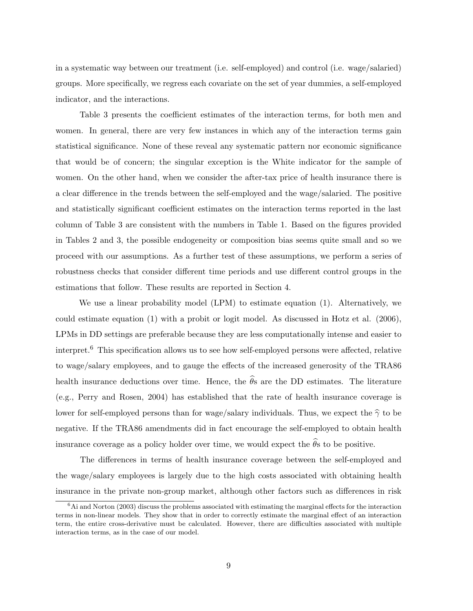in a systematic way between our treatment (i.e. self-employed) and control (i.e. wage/salaried) groups. More specifically, we regress each covariate on the set of year dummies, a self-employed indicator, and the interactions.

Table 3 presents the coefficient estimates of the interaction terms, for both men and women. In general, there are very few instances in which any of the interaction terms gain statistical significance. None of these reveal any systematic pattern nor economic significance that would be of concern; the singular exception is the White indicator for the sample of women. On the other hand, when we consider the after-tax price of health insurance there is a clear difference in the trends between the self-employed and the wage/salaried. The positive and statistically significant coefficient estimates on the interaction terms reported in the last column of Table 3 are consistent with the numbers in Table 1. Based on the figures provided in Tables 2 and 3, the possible endogeneity or composition bias seems quite small and so we proceed with our assumptions. As a further test of these assumptions, we perform a series of robustness checks that consider different time periods and use different control groups in the estimations that follow. These results are reported in Section 4.

We use a linear probability model (LPM) to estimate equation (1). Alternatively, we could estimate equation (1) with a probit or logit model. As discussed in Hotz et al. (2006), LPMs in DD settings are preferable because they are less computationally intense and easier to interpret.<sup>6</sup> This specification allows us to see how self-employed persons were affected, relative to wage/salary employees, and to gauge the effects of the increased generosity of the TRA86 health insurance deductions over time. Hence, the  $\hat{\theta}$ s are the DD estimates. The literature (e.g., Perry and Rosen, 2004) has established that the rate of health insurance coverage is lower for self-employed persons than for wage/salary individuals. Thus, we expect the  $\hat{\gamma}$  to be negative. If the TRA86 amendments did in fact encourage the self-employed to obtain health insurance coverage as a policy holder over time, we would expect the  $\hat{\theta}$ s to be positive.

The differences in terms of health insurance coverage between the self-employed and the wage/salary employees is largely due to the high costs associated with obtaining health insurance in the private non-group market, although other factors such as differences in risk

 $6$ Ai and Norton (2003) discuss the problems associated with estimating the marginal effects for the interaction terms in non-linear models. They show that in order to correctly estimate the marginal effect of an interaction term, the entire cross-derivative must be calculated. However, there are difficulties associated with multiple interaction terms, as in the case of our model.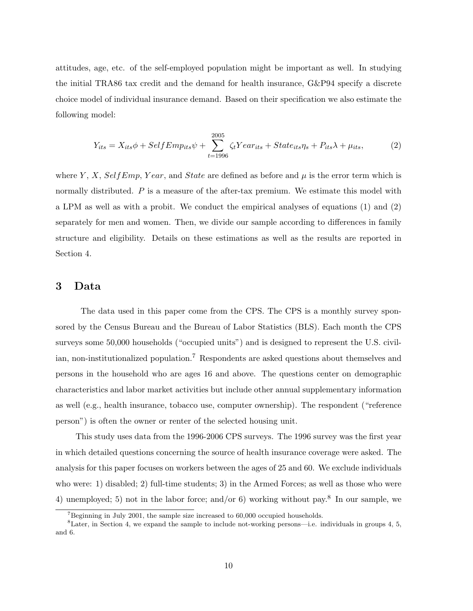attitudes, age, etc. of the self-employed population might be important as well. In studying the initial TRA86 tax credit and the demand for health insurance, G&P94 specify a discrete choice model of individual insurance demand. Based on their specification we also estimate the following model:

$$
Y_{its} = X_{its}\phi + SelfEmp_{its}\psi + \sum_{t=1996}^{2005} \zeta_t Year_{its} + State_{its}\eta_s + P_{its}\lambda + \mu_{its},\tag{2}
$$

where Y, X, SelfEmp, Year, and State are defined as before and  $\mu$  is the error term which is normally distributed. P is a measure of the after-tax premium. We estimate this model with a LPM as well as with a probit. We conduct the empirical analyses of equations (1) and (2) separately for men and women. Then, we divide our sample according to differences in family structure and eligibility. Details on these estimations as well as the results are reported in Section 4.

#### 3 Data

The data used in this paper come from the CPS. The CPS is a monthly survey sponsored by the Census Bureau and the Bureau of Labor Statistics (BLS). Each month the CPS surveys some 50,000 households ("occupied units") and is designed to represent the U.S. civilian, non-institutionalized population.<sup>7</sup> Respondents are asked questions about themselves and persons in the household who are ages 16 and above. The questions center on demographic characteristics and labor market activities but include other annual supplementary information as well (e.g., health insurance, tobacco use, computer ownership). The respondent ("reference person") is often the owner or renter of the selected housing unit.

This study uses data from the 1996-2006 CPS surveys. The 1996 survey was the first year in which detailed questions concerning the source of health insurance coverage were asked. The analysis for this paper focuses on workers between the ages of 25 and 60. We exclude individuals who were: 1) disabled; 2) full-time students; 3) in the Armed Forces; as well as those who were 4) unemployed; 5) not in the labor force; and/or 6) working without pay.<sup>8</sup> In our sample, we

<sup>&</sup>lt;sup>7</sup>Beginning in July 2001, the sample size increased to  $60,000$  occupied households.

 ${}^8$ Later, in Section 4, we expand the sample to include not-working persons—i.e. individuals in groups 4, 5, and 6.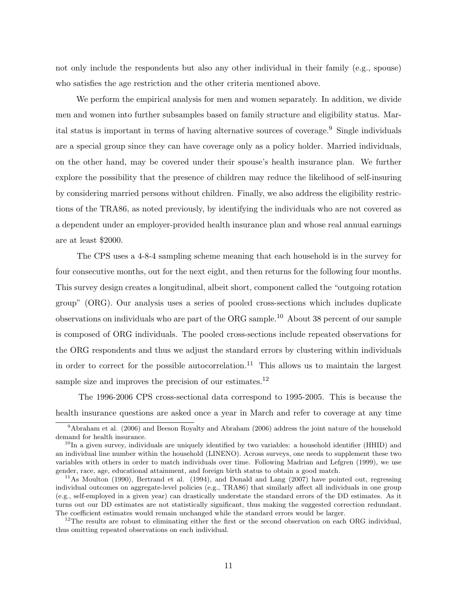not only include the respondents but also any other individual in their family (e.g., spouse) who satisfies the age restriction and the other criteria mentioned above.

We perform the empirical analysis for men and women separately. In addition, we divide men and women into further subsamples based on family structure and eligibility status. Marital status is important in terms of having alternative sources of coverage.<sup>9</sup> Single individuals are a special group since they can have coverage only as a policy holder. Married individuals, on the other hand, may be covered under their spouse's health insurance plan. We further explore the possibility that the presence of children may reduce the likelihood of self-insuring by considering married persons without children. Finally, we also address the eligibility restrictions of the TRA86, as noted previously, by identifying the individuals who are not covered as a dependent under an employer-provided health insurance plan and whose real annual earnings are at least \$2000.

The CPS uses a 4-8-4 sampling scheme meaning that each household is in the survey for four consecutive months, out for the next eight, and then returns for the following four months. This survey design creates a longitudinal, albeit short, component called the "outgoing rotation group" (ORG). Our analysis uses a series of pooled cross-sections which includes duplicate observations on individuals who are part of the ORG sample.<sup>10</sup> About 38 percent of our sample is composed of ORG individuals. The pooled cross-sections include repeated observations for the ORG respondents and thus we adjust the standard errors by clustering within individuals in order to correct for the possible autocorrelation.<sup>11</sup> This allows us to maintain the largest sample size and improves the precision of our estimates.<sup>12</sup>

The 1996-2006 CPS cross-sectional data correspond to 1995-2005. This is because the health insurance questions are asked once a year in March and refer to coverage at any time

<sup>9</sup>Abraham et al. (2006) and Beeson Royalty and Abraham (2006) address the joint nature of the household demand for health insurance.

 $10$ In a given survey, individuals are uniquely identified by two variables: a household identifier (HHID) and an individual line number within the household (LINENO). Across surveys, one needs to supplement these two variables with others in order to match individuals over time. Following Madrian and Lefgren (1999), we use gender, race, age, educational attainment, and foreign birth status to obtain a good match.

<sup>&</sup>lt;sup>11</sup>As Moulton (1990), Bertrand et al. (1994), and Donald and Lang (2007) have pointed out, regressing individual outcomes on aggregate-level policies (e.g., TRA86) that similarly affect all individuals in one group (e.g., self-employed in a given year) can drastically understate the standard errors of the DD estimates. As it turns out our DD estimates are not statistically significant, thus making the suggested correction redundant. The coefficient estimates would remain unchanged while the standard errors would be larger.

 $12$ The results are robust to eliminating either the first or the second observation on each ORG individual, thus omitting repeated observations on each individual.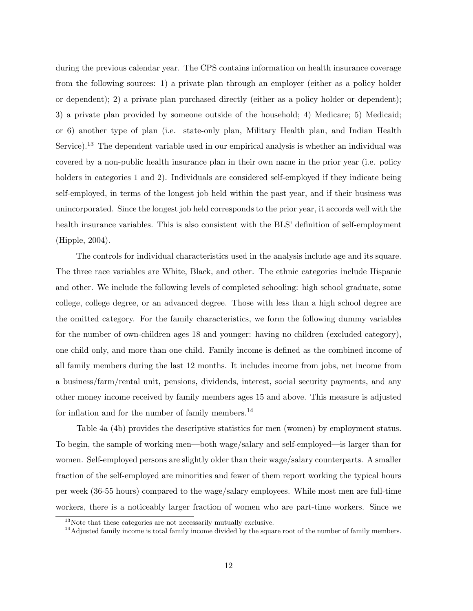during the previous calendar year. The CPS contains information on health insurance coverage from the following sources: 1) a private plan through an employer (either as a policy holder or dependent); 2) a private plan purchased directly (either as a policy holder or dependent); 3) a private plan provided by someone outside of the household; 4) Medicare; 5) Medicaid; or 6) another type of plan (i.e. state-only plan, Military Health plan, and Indian Health Service).<sup>13</sup> The dependent variable used in our empirical analysis is whether an individual was covered by a non-public health insurance plan in their own name in the prior year (i.e. policy holders in categories 1 and 2). Individuals are considered self-employed if they indicate being self-employed, in terms of the longest job held within the past year, and if their business was unincorporated. Since the longest job held corresponds to the prior year, it accords well with the health insurance variables. This is also consistent with the BLS' definition of self-employment (Hipple, 2004).

The controls for individual characteristics used in the analysis include age and its square. The three race variables are White, Black, and other. The ethnic categories include Hispanic and other. We include the following levels of completed schooling: high school graduate, some college, college degree, or an advanced degree. Those with less than a high school degree are the omitted category. For the family characteristics, we form the following dummy variables for the number of own-children ages 18 and younger: having no children (excluded category), one child only, and more than one child. Family income is defined as the combined income of all family members during the last 12 months. It includes income from jobs, net income from a business/farm/rental unit, pensions, dividends, interest, social security payments, and any other money income received by family members ages 15 and above. This measure is adjusted for inflation and for the number of family members.<sup>14</sup>

Table 4a (4b) provides the descriptive statistics for men (women) by employment status. To begin, the sample of working men—both wage/salary and self-employed—is larger than for women. Self-employed persons are slightly older than their wage/salary counterparts. A smaller fraction of the self-employed are minorities and fewer of them report working the typical hours per week (36-55 hours) compared to the wage/salary employees. While most men are full-time workers, there is a noticeably larger fraction of women who are part-time workers. Since we

<sup>&</sup>lt;sup>13</sup>Note that these categories are not necessarily mutually exclusive.

<sup>&</sup>lt;sup>14</sup>Adjusted family income is total family income divided by the square root of the number of family members.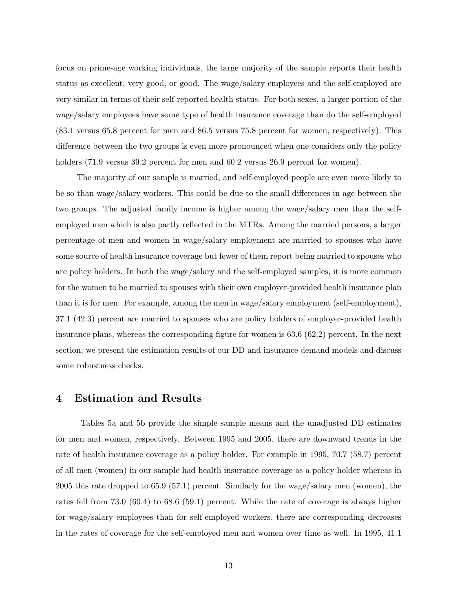focus on prime-age working individuals, the large majority of the sample reports their health status as excellent, very good, or good. The wage/salary employees and the self-employed are very similar in terms of their self-reported health status. For both sexes, a larger portion of the wage/salary employees have some type of health insurance coverage than do the self-employed (83.1 versus 65.8 percent for men and 86.5 versus 75.8 percent for women, respectively). This difference between the two groups is even more pronounced when one considers only the policy holders (71.9 versus 39.2 percent for men and 60.2 versus 26.9 percent for women).

The majority of our sample is married, and self-employed people are even more likely to be so than wage/salary workers. This could be due to the small differences in age between the two groups. The adjusted family income is higher among the wage/salary men than the selfemployed men which is also partly reflected in the MTRs. Among the married persons, a larger percentage of men and women in wage/salary employment are married to spouses who have some source of health insurance coverage but fewer of them report being married to spouses who are policy holders. In both the wage/salary and the self-employed samples, it is more common for the women to be married to spouses with their own employer-provided health insurance plan than it is for men. For example, among the men in wage/salary employment (self-employment), 37.1 (42.3) percent are married to spouses who are policy holders of employer-provided health insurance plans, whereas the corresponding figure for women is 63.6 (62.2) percent. In the next section, we present the estimation results of our DD and insurance demand models and discuss some robustness checks.

#### 4 Estimation and Results

Tables 5a and 5b provide the simple sample means and the unadjusted DD estimates for men and women, respectively. Between 1995 and 2005, there are downward trends in the rate of health insurance coverage as a policy holder. For example in 1995, 70.7 (58.7) percent of all men (women) in our sample had health insurance coverage as a policy holder whereas in 2005 this rate dropped to 65.9 (57.1) percent. Similarly for the wage/salary men (women), the rates fell from 73.0 (60.4) to 68.6 (59.1) percent. While the rate of coverage is always higher for wage/salary employees than for self-employed workers, there are corresponding decreases in the rates of coverage for the self-employed men and women over time as well. In 1995, 41.1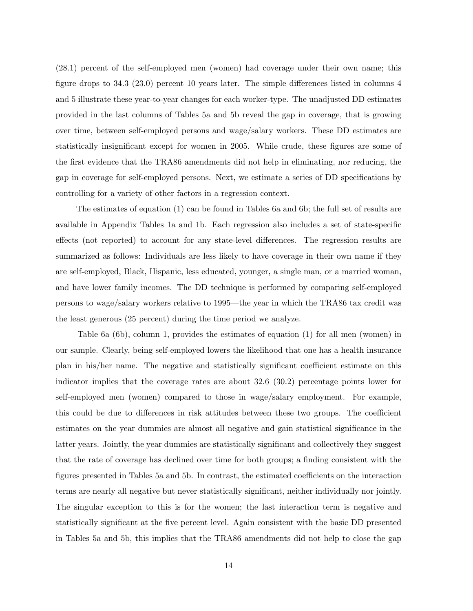(28.1) percent of the self-employed men (women) had coverage under their own name; this figure drops to 34.3 (23.0) percent 10 years later. The simple differences listed in columns 4 and 5 illustrate these year-to-year changes for each worker-type. The unadjusted DD estimates provided in the last columns of Tables 5a and 5b reveal the gap in coverage, that is growing over time, between self-employed persons and wage/salary workers. These DD estimates are statistically insignificant except for women in 2005. While crude, these figures are some of the first evidence that the TRA86 amendments did not help in eliminating, nor reducing, the gap in coverage for self-employed persons. Next, we estimate a series of DD specifications by controlling for a variety of other factors in a regression context.

The estimates of equation (1) can be found in Tables 6a and 6b; the full set of results are available in Appendix Tables 1a and 1b. Each regression also includes a set of state-specific effects (not reported) to account for any state-level differences. The regression results are summarized as follows: Individuals are less likely to have coverage in their own name if they are self-employed, Black, Hispanic, less educated, younger, a single man, or a married woman, and have lower family incomes. The DD technique is performed by comparing self-employed persons to wage/salary workers relative to 1995—the year in which the TRA86 tax credit was the least generous (25 percent) during the time period we analyze.

Table 6a (6b), column 1, provides the estimates of equation (1) for all men (women) in our sample. Clearly, being self-employed lowers the likelihood that one has a health insurance plan in his/her name. The negative and statistically significant coefficient estimate on this indicator implies that the coverage rates are about 32.6 (30.2) percentage points lower for self-employed men (women) compared to those in wage/salary employment. For example, this could be due to differences in risk attitudes between these two groups. The coefficient estimates on the year dummies are almost all negative and gain statistical significance in the latter years. Jointly, the year dummies are statistically significant and collectively they suggest that the rate of coverage has declined over time for both groups; a finding consistent with the figures presented in Tables 5a and 5b. In contrast, the estimated coefficients on the interaction terms are nearly all negative but never statistically significant, neither individually nor jointly. The singular exception to this is for the women; the last interaction term is negative and statistically significant at the five percent level. Again consistent with the basic DD presented in Tables 5a and 5b, this implies that the TRA86 amendments did not help to close the gap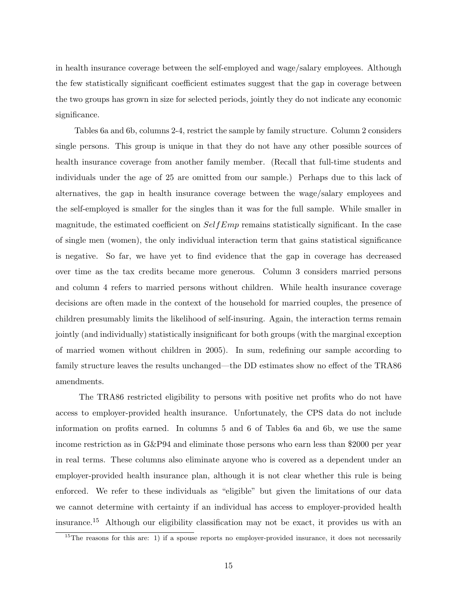in health insurance coverage between the self-employed and wage/salary employees. Although the few statistically significant coefficient estimates suggest that the gap in coverage between the two groups has grown in size for selected periods, jointly they do not indicate any economic significance.

Tables 6a and 6b, columns 2-4, restrict the sample by family structure. Column 2 considers single persons. This group is unique in that they do not have any other possible sources of health insurance coverage from another family member. (Recall that full-time students and individuals under the age of 25 are omitted from our sample.) Perhaps due to this lack of alternatives, the gap in health insurance coverage between the wage/salary employees and the self-employed is smaller for the singles than it was for the full sample. While smaller in magnitude, the estimated coefficient on  $SelfEmp$  remains statistically significant. In the case of single men (women), the only individual interaction term that gains statistical significance is negative. So far, we have yet to find evidence that the gap in coverage has decreased over time as the tax credits became more generous. Column 3 considers married persons and column 4 refers to married persons without children. While health insurance coverage decisions are often made in the context of the household for married couples, the presence of children presumably limits the likelihood of self-insuring. Again, the interaction terms remain jointly (and individually) statistically insignificant for both groups (with the marginal exception of married women without children in 2005). In sum, redefining our sample according to family structure leaves the results unchanged—the DD estimates show no effect of the TRA86 amendments.

The TRA86 restricted eligibility to persons with positive net profits who do not have access to employer-provided health insurance. Unfortunately, the CPS data do not include information on profits earned. In columns 5 and 6 of Tables 6a and 6b, we use the same income restriction as in G&P94 and eliminate those persons who earn less than \$2000 per year in real terms. These columns also eliminate anyone who is covered as a dependent under an employer-provided health insurance plan, although it is not clear whether this rule is being enforced. We refer to these individuals as "eligible" but given the limitations of our data we cannot determine with certainty if an individual has access to employer-provided health insurance.<sup>15</sup> Although our eligibility classification may not be exact, it provides us with an

 $15$ The reasons for this are: 1) if a spouse reports no employer-provided insurance, it does not necessarily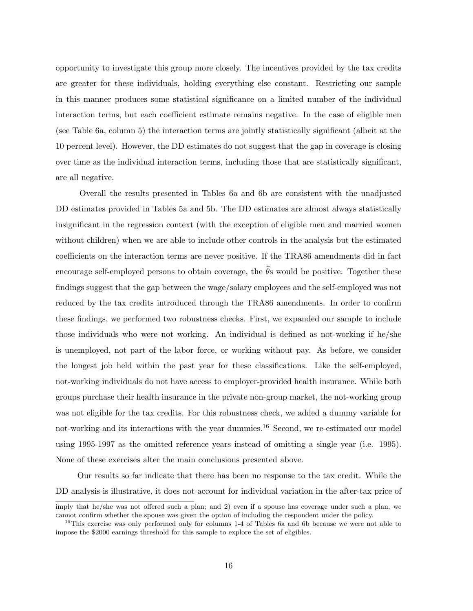opportunity to investigate this group more closely. The incentives provided by the tax credits are greater for these individuals, holding everything else constant. Restricting our sample in this manner produces some statistical significance on a limited number of the individual interaction terms, but each coefficient estimate remains negative. In the case of eligible men (see Table 6a, column 5) the interaction terms are jointly statistically significant (albeit at the 10 percent level). However, the DD estimates do not suggest that the gap in coverage is closing over time as the individual interaction terms, including those that are statistically significant, are all negative.

Overall the results presented in Tables 6a and 6b are consistent with the unadjusted DD estimates provided in Tables 5a and 5b. The DD estimates are almost always statistically insignificant in the regression context (with the exception of eligible men and married women without children) when we are able to include other controls in the analysis but the estimated coefficients on the interaction terms are never positive. If the TRA86 amendments did in fact encourage self-employed persons to obtain coverage, the  $\hat{\theta}$ s would be positive. Together these findings suggest that the gap between the wage/salary employees and the self-employed was not reduced by the tax credits introduced through the TRA86 amendments. In order to confirm these findings, we performed two robustness checks. First, we expanded our sample to include those individuals who were not working. An individual is defined as not-working if he/she is unemployed, not part of the labor force, or working without pay. As before, we consider the longest job held within the past year for these classifications. Like the self-employed, not-working individuals do not have access to employer-provided health insurance. While both groups purchase their health insurance in the private non-group market, the not-working group was not eligible for the tax credits. For this robustness check, we added a dummy variable for not-working and its interactions with the year dummies.<sup>16</sup> Second, we re-estimated our model using 1995-1997 as the omitted reference years instead of omitting a single year (i.e. 1995). None of these exercises alter the main conclusions presented above.

Our results so far indicate that there has been no response to the tax credit. While the DD analysis is illustrative, it does not account for individual variation in the after-tax price of

imply that he/she was not offered such a plan; and 2) even if a spouse has coverage under such a plan, we cannot confirm whether the spouse was given the option of including the respondent under the policy.

<sup>&</sup>lt;sup>16</sup>This exercise was only performed only for columns 1-4 of Tables 6a and 6b because we were not able to impose the \$2000 earnings threshold for this sample to explore the set of eligibles.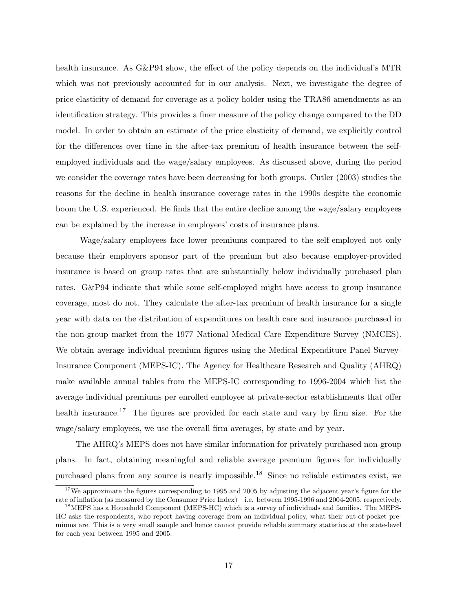health insurance. As G&P94 show, the effect of the policy depends on the individual's MTR which was not previously accounted for in our analysis. Next, we investigate the degree of price elasticity of demand for coverage as a policy holder using the TRA86 amendments as an identification strategy. This provides a finer measure of the policy change compared to the DD model. In order to obtain an estimate of the price elasticity of demand, we explicitly control for the differences over time in the after-tax premium of health insurance between the selfemployed individuals and the wage/salary employees. As discussed above, during the period we consider the coverage rates have been decreasing for both groups. Cutler (2003) studies the reasons for the decline in health insurance coverage rates in the 1990s despite the economic boom the U.S. experienced. He finds that the entire decline among the wage/salary employees can be explained by the increase in employees' costs of insurance plans.

Wage/salary employees face lower premiums compared to the self-employed not only because their employers sponsor part of the premium but also because employer-provided insurance is based on group rates that are substantially below individually purchased plan rates. G&P94 indicate that while some self-employed might have access to group insurance coverage, most do not. They calculate the after-tax premium of health insurance for a single year with data on the distribution of expenditures on health care and insurance purchased in the non-group market from the 1977 National Medical Care Expenditure Survey (NMCES). We obtain average individual premium figures using the Medical Expenditure Panel Survey-Insurance Component (MEPS-IC). The Agency for Healthcare Research and Quality (AHRQ) make available annual tables from the MEPS-IC corresponding to 1996-2004 which list the average individual premiums per enrolled employee at private-sector establishments that offer health insurance.<sup>17</sup> The figures are provided for each state and vary by firm size. For the wage/salary employees, we use the overall firm averages, by state and by year.

The AHRQ's MEPS does not have similar information for privately-purchased non-group plans. In fact, obtaining meaningful and reliable average premium figures for individually purchased plans from any source is nearly impossible.<sup>18</sup> Since no reliable estimates exist, we

<sup>&</sup>lt;sup>17</sup>We approximate the figures corresponding to 1995 and 2005 by adjusting the adjacent year's figure for the rate of inflation (as measured by the Consumer Price Index)—i.e. between 1995-1996 and 2004-2005, respectively.

<sup>&</sup>lt;sup>18</sup>MEPS has a Household Component (MEPS-HC) which is a survey of individuals and families. The MEPS-HC asks the respondents, who report having coverage from an individual policy, what their out-of-pocket premiums are. This is a very small sample and hence cannot provide reliable summary statistics at the state-level for each year between 1995 and 2005.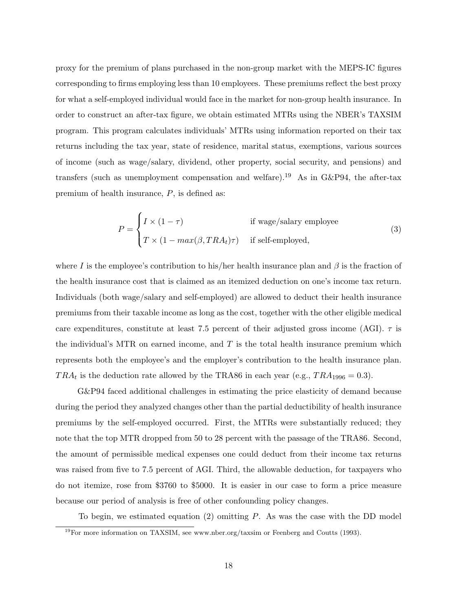proxy for the premium of plans purchased in the non-group market with the MEPS-IC figures corresponding to firms employing less than 10 employees. These premiums reflect the best proxy for what a self-employed individual would face in the market for non-group health insurance. In order to construct an after-tax figure, we obtain estimated MTRs using the NBER's TAXSIM program. This program calculates individuals' MTRs using information reported on their tax returns including the tax year, state of residence, marital status, exemptions, various sources of income (such as wage/salary, dividend, other property, social security, and pensions) and transfers (such as unemployment compensation and welfare).<sup>19</sup> As in G&P94, the after-tax premium of health insurance, P, is defined as:

$$
P = \begin{cases} I \times (1 - \tau) & \text{if wage/salary employee} \\ T \times (1 - \max(\beta, TRA_t)\tau) & \text{if self-employed,} \end{cases}
$$
 (3)

where I is the employee's contribution to his/her health insurance plan and  $\beta$  is the fraction of the health insurance cost that is claimed as an itemized deduction on one's income tax return. Individuals (both wage/salary and self-employed) are allowed to deduct their health insurance premiums from their taxable income as long as the cost, together with the other eligible medical care expenditures, constitute at least 7.5 percent of their adjusted gross income (AGI).  $\tau$  is the individual's MTR on earned income, and  $T$  is the total health insurance premium which represents both the employee's and the employer's contribution to the health insurance plan.  $TRA_t$  is the deduction rate allowed by the TRA86 in each year (e.g.,  $TRA_{1996} = 0.3$ ).

G&P94 faced additional challenges in estimating the price elasticity of demand because during the period they analyzed changes other than the partial deductibility of health insurance premiums by the self-employed occurred. First, the MTRs were substantially reduced; they note that the top MTR dropped from 50 to 28 percent with the passage of the TRA86. Second, the amount of permissible medical expenses one could deduct from their income tax returns was raised from five to 7.5 percent of AGI. Third, the allowable deduction, for taxpayers who do not itemize, rose from \$3760 to \$5000. It is easier in our case to form a price measure because our period of analysis is free of other confounding policy changes.

To begin, we estimated equation  $(2)$  omitting P. As was the case with the DD model

<sup>&</sup>lt;sup>19</sup>For more information on TAXSIM, see www.nber.org/taxsim or Feenberg and Coutts (1993).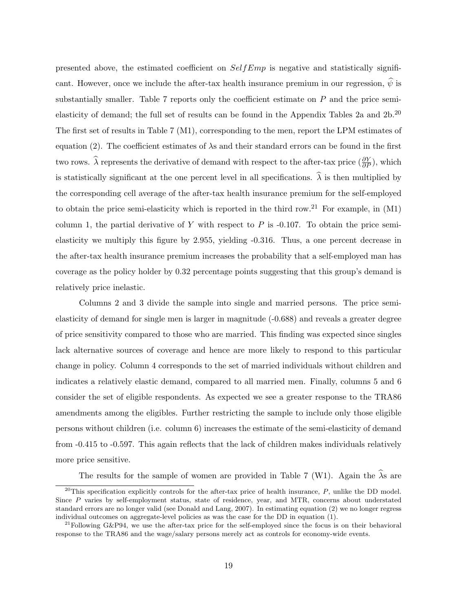presented above, the estimated coefficient on  $SelfEmp$  is negative and statistically significant. However, once we include the after-tax health insurance premium in our regression,  $\hat{\psi}$  is substantially smaller. Table 7 reports only the coefficient estimate on  $P$  and the price semielasticity of demand; the full set of results can be found in the Appendix Tables 2a and  $2b$ .<sup>20</sup> The first set of results in Table 7 (M1), corresponding to the men, report the LPM estimates of equation (2). The coefficient estimates of  $\lambda$ s and their standard errors can be found in the first two rows.  $\hat{\lambda}$  represents the derivative of demand with respect to the after-tax price  $(\frac{\partial Y}{\partial P})$ , which is statistically significant at the one percent level in all specifications.  $\hat{\lambda}$  is then multiplied by the corresponding cell average of the after-tax health insurance premium for the self-employed to obtain the price semi-elasticity which is reported in the third row.<sup>21</sup> For example, in  $(M1)$ column 1, the partial derivative of Y with respect to  $P$  is -0.107. To obtain the price semielasticity we multiply this figure by 2.955, yielding -0.316. Thus, a one percent decrease in the after-tax health insurance premium increases the probability that a self-employed man has coverage as the policy holder by 0.32 percentage points suggesting that this group's demand is relatively price inelastic.

Columns 2 and 3 divide the sample into single and married persons. The price semielasticity of demand for single men is larger in magnitude (-0.688) and reveals a greater degree of price sensitivity compared to those who are married. This finding was expected since singles lack alternative sources of coverage and hence are more likely to respond to this particular change in policy. Column 4 corresponds to the set of married individuals without children and indicates a relatively elastic demand, compared to all married men. Finally, columns 5 and 6 consider the set of eligible respondents. As expected we see a greater response to the TRA86 amendments among the eligibles. Further restricting the sample to include only those eligible persons without children (i.e. column 6) increases the estimate of the semi-elasticity of demand from -0.415 to -0.597. This again reflects that the lack of children makes individuals relatively more price sensitive.

The results for the sample of women are provided in Table 7 (W1). Again the  $\hat{\lambda}$ s are

 $^{20}$ This specification explicitly controls for the after-tax price of health insurance,  $P$ , unlike the DD model. Since P varies by self-employment status, state of residence, year, and MTR, concerns about understated standard errors are no longer valid (see Donald and Lang, 2007). In estimating equation (2) we no longer regress individual outcomes on aggregate-level policies as was the case for the DD in equation (1).

 $^{21}$ Following G&P94, we use the after-tax price for the self-employed since the focus is on their behavioral response to the TRA86 and the wage/salary persons merely act as controls for economy-wide events.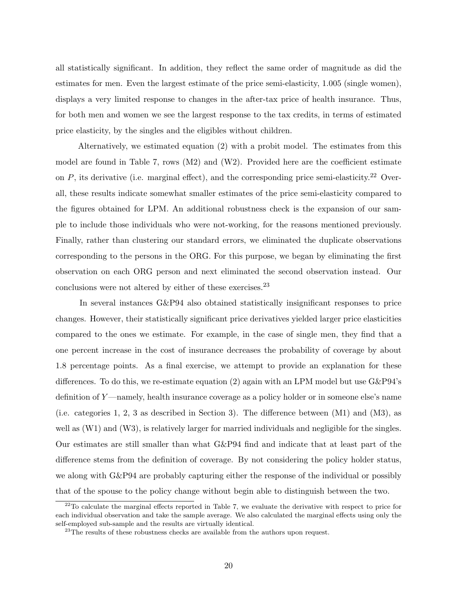all statistically significant. In addition, they reflect the same order of magnitude as did the estimates for men. Even the largest estimate of the price semi-elasticity, 1.005 (single women), displays a very limited response to changes in the after-tax price of health insurance. Thus, for both men and women we see the largest response to the tax credits, in terms of estimated price elasticity, by the singles and the eligibles without children.

Alternatively, we estimated equation (2) with a probit model. The estimates from this model are found in Table 7, rows (M2) and (W2). Provided here are the coefficient estimate on  $P$ , its derivative (i.e. marginal effect), and the corresponding price semi-elasticity.<sup>22</sup> Overall, these results indicate somewhat smaller estimates of the price semi-elasticity compared to the figures obtained for LPM. An additional robustness check is the expansion of our sample to include those individuals who were not-working, for the reasons mentioned previously. Finally, rather than clustering our standard errors, we eliminated the duplicate observations corresponding to the persons in the ORG. For this purpose, we began by eliminating the first observation on each ORG person and next eliminated the second observation instead. Our conclusions were not altered by either of these exercises.<sup>23</sup>

In several instances G&P94 also obtained statistically insignificant responses to price changes. However, their statistically significant price derivatives yielded larger price elasticities compared to the ones we estimate. For example, in the case of single men, they find that a one percent increase in the cost of insurance decreases the probability of coverage by about 1.8 percentage points. As a final exercise, we attempt to provide an explanation for these differences. To do this, we re-estimate equation (2) again with an LPM model but use G&P94's definition of Y —namely, health insurance coverage as a policy holder or in someone else's name (i.e. categories 1, 2, 3 as described in Section 3). The difference between (M1) and (M3), as well as  $(W1)$  and  $(W3)$ , is relatively larger for married individuals and negligible for the singles. Our estimates are still smaller than what G&P94 find and indicate that at least part of the difference stems from the definition of coverage. By not considering the policy holder status, we along with G&P94 are probably capturing either the response of the individual or possibly that of the spouse to the policy change without begin able to distinguish between the two.

 $22$ To calculate the marginal effects reported in Table 7, we evaluate the derivative with respect to price for each individual observation and take the sample average. We also calculated the marginal effects using only the self-employed sub-sample and the results are virtually identical.

<sup>&</sup>lt;sup>23</sup>The results of these robustness checks are available from the authors upon request.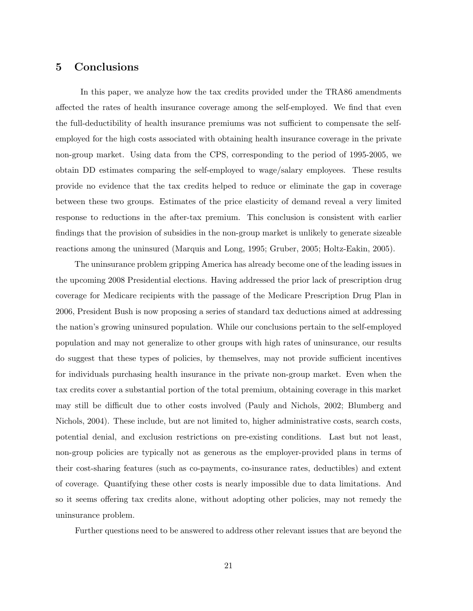### 5 Conclusions

In this paper, we analyze how the tax credits provided under the TRA86 amendments affected the rates of health insurance coverage among the self-employed. We find that even the full-deductibility of health insurance premiums was not sufficient to compensate the selfemployed for the high costs associated with obtaining health insurance coverage in the private non-group market. Using data from the CPS, corresponding to the period of 1995-2005, we obtain DD estimates comparing the self-employed to wage/salary employees. These results provide no evidence that the tax credits helped to reduce or eliminate the gap in coverage between these two groups. Estimates of the price elasticity of demand reveal a very limited response to reductions in the after-tax premium. This conclusion is consistent with earlier findings that the provision of subsidies in the non-group market is unlikely to generate sizeable reactions among the uninsured (Marquis and Long, 1995; Gruber, 2005; Holtz-Eakin, 2005).

The uninsurance problem gripping America has already become one of the leading issues in the upcoming 2008 Presidential elections. Having addressed the prior lack of prescription drug coverage for Medicare recipients with the passage of the Medicare Prescription Drug Plan in 2006, President Bush is now proposing a series of standard tax deductions aimed at addressing the nation's growing uninsured population. While our conclusions pertain to the self-employed population and may not generalize to other groups with high rates of uninsurance, our results do suggest that these types of policies, by themselves, may not provide sufficient incentives for individuals purchasing health insurance in the private non-group market. Even when the tax credits cover a substantial portion of the total premium, obtaining coverage in this market may still be difficult due to other costs involved (Pauly and Nichols, 2002; Blumberg and Nichols, 2004). These include, but are not limited to, higher administrative costs, search costs, potential denial, and exclusion restrictions on pre-existing conditions. Last but not least, non-group policies are typically not as generous as the employer-provided plans in terms of their cost-sharing features (such as co-payments, co-insurance rates, deductibles) and extent of coverage. Quantifying these other costs is nearly impossible due to data limitations. And so it seems offering tax credits alone, without adopting other policies, may not remedy the uninsurance problem.

Further questions need to be answered to address other relevant issues that are beyond the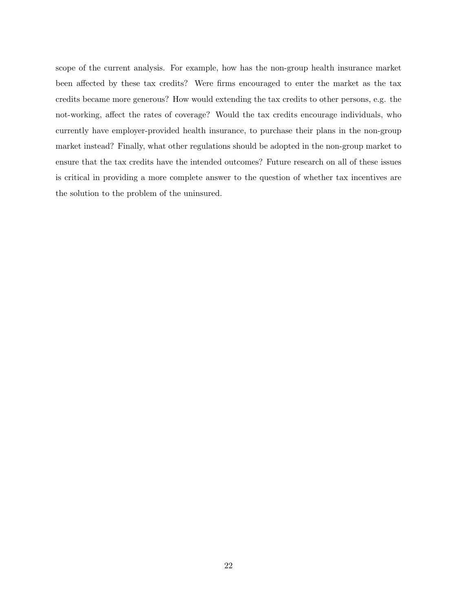scope of the current analysis. For example, how has the non-group health insurance market been affected by these tax credits? Were firms encouraged to enter the market as the tax credits became more generous? How would extending the tax credits to other persons, e.g. the not-working, affect the rates of coverage? Would the tax credits encourage individuals, who currently have employer-provided health insurance, to purchase their plans in the non-group market instead? Finally, what other regulations should be adopted in the non-group market to ensure that the tax credits have the intended outcomes? Future research on all of these issues is critical in providing a more complete answer to the question of whether tax incentives are the solution to the problem of the uninsured.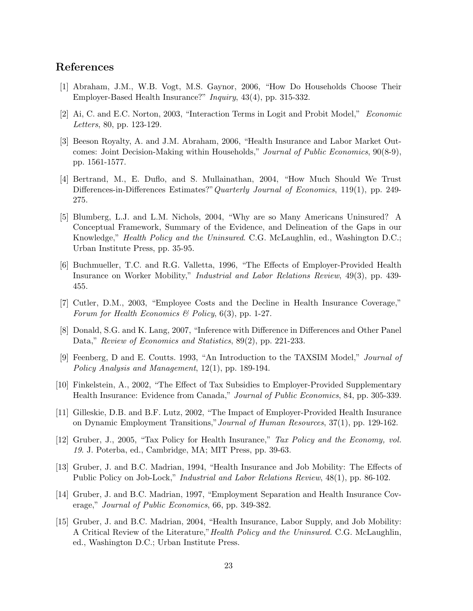### References

- [1] Abraham, J.M., W.B. Vogt, M.S. Gaynor, 2006, "How Do Households Choose Their Employer-Based Health Insurance?" Inquiry, 43(4), pp. 315-332.
- [2] Ai, C. and E.C. Norton, 2003, "Interaction Terms in Logit and Probit Model," Economic Letters, 80, pp. 123-129.
- [3] Beeson Royalty, A. and J.M. Abraham, 2006, "Health Insurance and Labor Market Outcomes: Joint Decision-Making within Households," Journal of Public Economics, 90(8-9), pp. 1561-1577.
- [4] Bertrand, M., E. Duflo, and S. Mullainathan, 2004, "How Much Should We Trust Differences-in-Differences Estimates?" Quarterly Journal of Economics, 119(1), pp. 249-275.
- [5] Blumberg, L.J. and L.M. Nichols, 2004, "Why are so Many Americans Uninsured? A Conceptual Framework, Summary of the Evidence, and Delineation of the Gaps in our Knowledge," Health Policy and the Uninsured. C.G. McLaughlin, ed., Washington D.C.; Urban Institute Press, pp. 35-95.
- [6] Buchmueller, T.C. and R.G. Valletta, 1996, "The Effects of Employer-Provided Health Insurance on Worker Mobility," Industrial and Labor Relations Review, 49(3), pp. 439- 455.
- [7] Cutler, D.M., 2003, "Employee Costs and the Decline in Health Insurance Coverage," Forum for Health Economics & Policy,  $6(3)$ , pp. 1-27.
- [8] Donald, S.G. and K. Lang, 2007, "Inference with Difference in Differences and Other Panel Data," Review of Economics and Statistics, 89(2), pp. 221-233.
- [9] Feenberg, D and E. Coutts. 1993, "An Introduction to the TAXSIM Model," Journal of Policy Analysis and Management, 12(1), pp. 189-194.
- [10] Finkelstein, A., 2002, "The Effect of Tax Subsidies to Employer-Provided Supplementary Health Insurance: Evidence from Canada," Journal of Public Economics, 84, pp. 305-339.
- [11] Gilleskie, D.B. and B.F. Lutz, 2002, "The Impact of Employer-Provided Health Insurance on Dynamic Employment Transitions,"Journal of Human Resources, 37(1), pp. 129-162.
- [12] Gruber, J., 2005, "Tax Policy for Health Insurance," Tax Policy and the Economy, vol. 19. J. Poterba, ed., Cambridge, MA; MIT Press, pp. 39-63.
- [13] Gruber, J. and B.C. Madrian, 1994, "Health Insurance and Job Mobility: The Effects of Public Policy on Job-Lock," *Industrial and Labor Relations Review*,  $48(1)$ , pp. 86-102.
- [14] Gruber, J. and B.C. Madrian, 1997, "Employment Separation and Health Insurance Coverage," Journal of Public Economics, 66, pp. 349-382.
- [15] Gruber, J. and B.C. Madrian, 2004, "Health Insurance, Labor Supply, and Job Mobility: A Critical Review of the Literature,"Health Policy and the Uninsured. C.G. McLaughlin, ed., Washington D.C.; Urban Institute Press.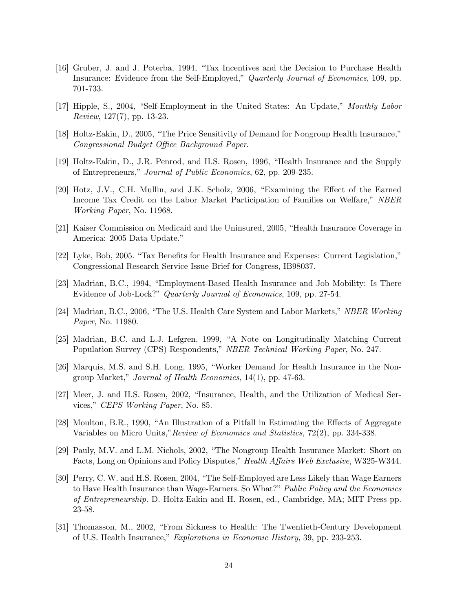- [16] Gruber, J. and J. Poterba, 1994, "Tax Incentives and the Decision to Purchase Health Insurance: Evidence from the Self-Employed," Quarterly Journal of Economics, 109, pp. 701-733.
- [17] Hipple, S., 2004, "Self-Employment in the United States: An Update," Monthly Labor Review, 127(7), pp. 13-23.
- [18] Holtz-Eakin, D., 2005, "The Price Sensitivity of Demand for Nongroup Health Insurance," Congressional Budget Office Background Paper.
- [19] Holtz-Eakin, D., J.R. Penrod, and H.S. Rosen, 1996, "Health Insurance and the Supply of Entrepreneurs," Journal of Public Economics, 62, pp. 209-235.
- [20] Hotz, J.V., C.H. Mullin, and J.K. Scholz, 2006, "Examining the Effect of the Earned Income Tax Credit on the Labor Market Participation of Families on Welfare," NBER Working Paper, No. 11968.
- [21] Kaiser Commission on Medicaid and the Uninsured, 2005, "Health Insurance Coverage in America: 2005 Data Update."
- [22] Lyke, Bob, 2005. "Tax Benefits for Health Insurance and Expenses: Current Legislation," Congressional Research Service Issue Brief for Congress, IB98037.
- [23] Madrian, B.C., 1994, "Employment-Based Health Insurance and Job Mobility: Is There Evidence of Job-Lock?" Quarterly Journal of Economics, 109, pp. 27-54.
- [24] Madrian, B.C., 2006, "The U.S. Health Care System and Labor Markets," NBER Working Paper, No. 11980.
- [25] Madrian, B.C. and L.J. Lefgren, 1999, "A Note on Longitudinally Matching Current Population Survey (CPS) Respondents," NBER Technical Working Paper, No. 247.
- [26] Marquis, M.S. and S.H. Long, 1995, "Worker Demand for Health Insurance in the Nongroup Market," Journal of Health Economics, 14(1), pp. 47-63.
- [27] Meer, J. and H.S. Rosen, 2002, "Insurance, Health, and the Utilization of Medical Services," CEPS Working Paper, No. 85.
- [28] Moulton, B.R., 1990, "An Illustration of a Pitfall in Estimating the Effects of Aggregate Variables on Micro Units,"Review of Economics and Statistics, 72(2), pp. 334-338.
- [29] Pauly, M.V. and L.M. Nichols, 2002, "The Nongroup Health Insurance Market: Short on Facts, Long on Opinions and Policy Disputes," Health Affairs Web Exclusive, W325-W344.
- [30] Perry, C. W. and H.S. Rosen, 2004, "The Self-Employed are Less Likely than Wage Earners to Have Health Insurance than Wage-Earners. So What?" Public Policy and the Economics of Entrepreneurship. D. Holtz-Eakin and H. Rosen, ed., Cambridge, MA; MIT Press pp. 23-58.
- [31] Thomasson, M., 2002, "From Sickness to Health: The Twentieth-Century Development of U.S. Health Insurance," Explorations in Economic History, 39, pp. 233-253.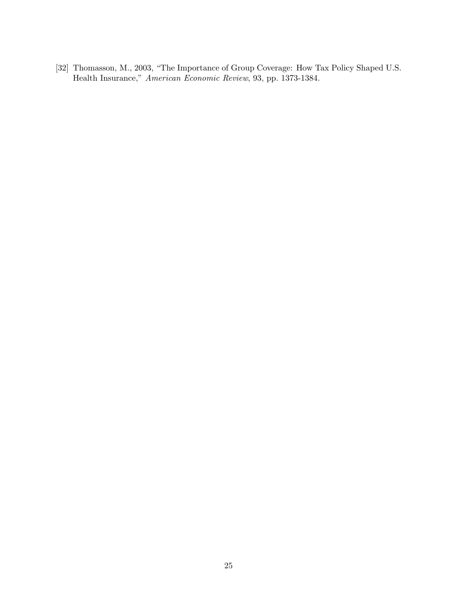[32] Thomasson, M., 2003, "The Importance of Group Coverage: How Tax Policy Shaped U.S. Health Insurance," American Economic Review, 93, pp. 1373-1384.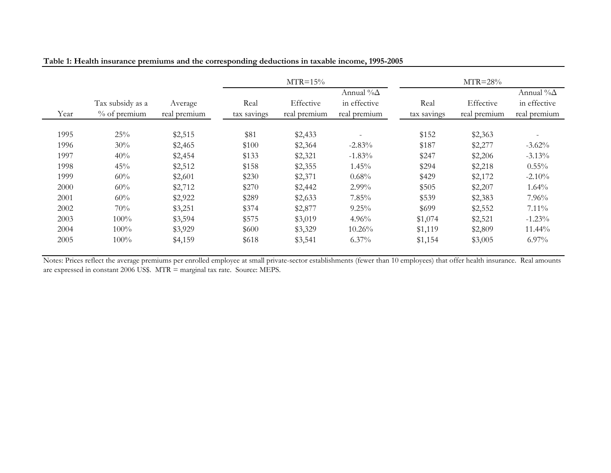|      |                                     |                         |                     | $MTR=15%$                 |                                                   |                     | $MTR = 28%$               |                                                   |
|------|-------------------------------------|-------------------------|---------------------|---------------------------|---------------------------------------------------|---------------------|---------------------------|---------------------------------------------------|
| Year | Tax subsidy as a<br>$\%$ of premium | Average<br>real premium | Real<br>tax savings | Effective<br>real premium | Annual % $\Delta$<br>in effective<br>real premium | Real<br>tax savings | Effective<br>real premium | Annual % $\Delta$<br>in effective<br>real premium |
| 1995 | 25%                                 | \$2,515                 | \$81                | \$2,433                   | $\overline{\phantom{a}}$                          | \$152               | \$2,363                   |                                                   |
| 1996 | $30\%$                              | \$2,465                 | \$100               | \$2,364                   | $-2.83%$                                          | \$187               | \$2,277                   | $-3.62%$                                          |
| 1997 | 40%                                 | \$2,454                 | \$133               | \$2,321                   | $-1.83%$                                          | \$247               | \$2,206                   | $-3.13%$                                          |
| 1998 | 45%                                 | \$2,512                 | \$158               | \$2,355                   | 1.45%                                             | \$294               | \$2,218                   | $0.55\%$                                          |
| 1999 | 60%                                 | \$2,601                 | \$230               | \$2,371                   | 0.68%                                             | \$429               | \$2,172                   | $-2.10%$                                          |
| 2000 | 60%                                 | \$2,712                 | \$270               | \$2,442                   | 2.99%                                             | \$505               | \$2,207                   | 1.64%                                             |
| 2001 | $60\%$                              | \$2,922                 | \$289               | \$2,633                   | 7.85%                                             | \$539               | \$2,383                   | 7.96%                                             |
| 2002 | 70%                                 | \$3,251                 | \$374               | \$2,877                   | 9.25%                                             | \$699               | \$2,552                   | $7.11\%$                                          |
| 2003 | 100%                                | \$3,594                 | \$575               | \$3,019                   | $4.96\%$                                          | \$1,074             | \$2,521                   | $-1.23%$                                          |
| 2004 | 100%                                | \$3,929                 | \$600               | \$3,329                   | $10.26\%$                                         | \$1,119             | \$2,809                   | 11.44%                                            |
| 2005 | 100%                                | \$4,159                 | \$618               | \$3,541                   | $6.37\%$                                          | \$1,154             | \$3,005                   | $6.97\%$                                          |

|  | Table 1: Health insurance premiums and the corresponding deductions in taxable income, 1995-2005 |
|--|--------------------------------------------------------------------------------------------------|
|  |                                                                                                  |

are expressed in constant 2006 US\$. MTR = marginal tax rate. Source: MEPS. Notes: Prices reflect the average premiums per enrolled employee at small private-sector establishments (fewer than 10 employees) that offer health insurance. Real amounts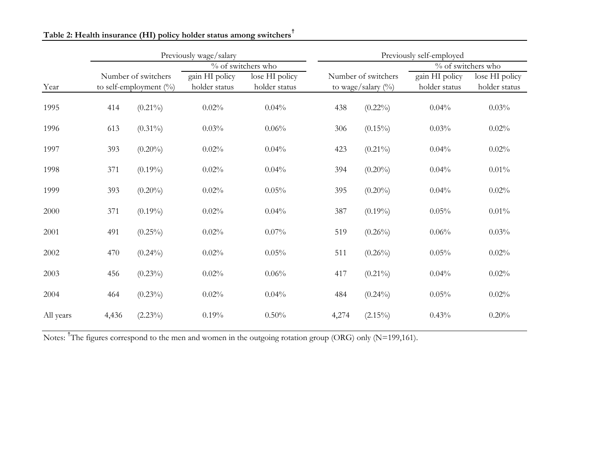|           |       |                                                        | Previously wage/salary          |                                 | Previously self-employed |                                              |                                 |                                 |  |
|-----------|-------|--------------------------------------------------------|---------------------------------|---------------------------------|--------------------------|----------------------------------------------|---------------------------------|---------------------------------|--|
|           |       |                                                        |                                 | $\frac{6}{10}$ of switchers who |                          |                                              | % of switchers who              |                                 |  |
| Year      |       | Number of switchers<br>to self-employment $(^{0}_{0})$ | gain HI policy<br>holder status | lose HI policy<br>holder status |                          | Number of switchers<br>to wage/salary $(\%)$ | gain HI policy<br>holder status | lose HI policy<br>holder status |  |
| 1995      | 414   | $(0.21\%)$                                             | 0.02%                           | 0.04%                           | 438                      | $(0.22\%)$                                   | 0.04%                           | 0.03%                           |  |
| 1996      | 613   | $(0.31\%)$                                             | 0.03%                           | 0.06%                           | 306                      | $(0.15\%)$                                   | 0.03%                           | 0.02%                           |  |
| 1997      | 393   | $(0.20\%)$                                             | 0.02%                           | 0.04%                           | 423                      | $(0.21\%)$                                   | 0.04%                           | 0.02%                           |  |
| 1998      | 371   | $(0.19\%)$                                             | 0.02%                           | 0.04%                           | 394                      | $(0.20\%)$                                   | 0.04%                           | $0.01\%$                        |  |
| 1999      | 393   | $(0.20\%)$                                             | 0.02%                           | 0.05%                           | 395                      | $(0.20\%)$                                   | 0.04%                           | 0.02%                           |  |
| 2000      | 371   | $(0.19\%)$                                             | 0.02%                           | 0.04%                           | 387                      | $(0.19\%)$                                   | 0.05%                           | 0.01%                           |  |
| 2001      | 491   | $(0.25\%)$                                             | 0.02%                           | 0.07%                           | 519                      | $(0.26\%)$                                   | 0.06%                           | 0.03%                           |  |
| 2002      | 470   | $(0.24\%)$                                             | 0.02%                           | 0.05%                           | 511                      | $(0.26\%)$                                   | 0.05%                           | 0.02%                           |  |
| 2003      | 456   | $(0.23\%)$                                             | 0.02%                           | 0.06%                           | 417                      | $(0.21\%)$                                   | 0.04%                           | 0.02%                           |  |
| 2004      | 464   | $(0.23\%)$                                             | 0.02%                           | 0.04%                           | 484                      | $(0.24\%)$                                   | 0.05%                           | 0.02%                           |  |
| All years | 4,436 | $(2.23\%)$                                             | 0.19%                           | 0.50%                           | 4,274                    | $(2.15\%)$                                   | 0.43%                           | 0.20%                           |  |

**Table 2: Health insurance (HI) policy holder status among switchers†**

Notes: <sup>†</sup>The figures correspond to the men and women in the outgoing rotation group (ORG) only (N=199,161).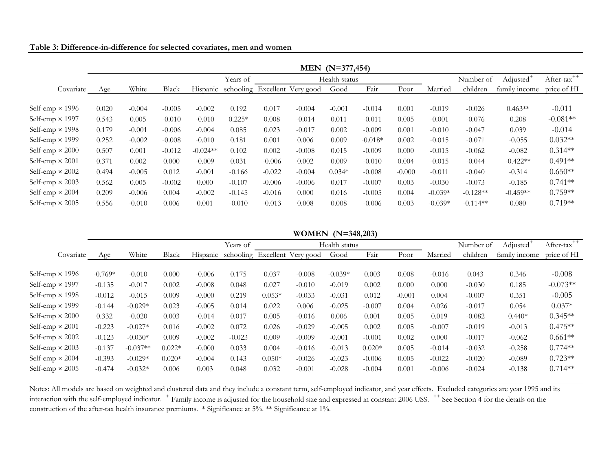| Table 3: Difference-in-difference for selected covariates, men and women |  |  |
|--------------------------------------------------------------------------|--|--|
|                                                                          |  |  |

|                        |       |          |          |            |          |          |                                        | MEN (N=377,454) |           |          |           |            |                 |                   |
|------------------------|-------|----------|----------|------------|----------|----------|----------------------------------------|-----------------|-----------|----------|-----------|------------|-----------------|-------------------|
|                        |       |          |          |            | Years of |          |                                        | Health status   |           |          |           | Number of  | <b>Adjusted</b> | $++$<br>After-tax |
| Covariate              | Age   | White    | Black    |            |          |          | Hispanic schooling Excellent Very good | Good            | Fair      | Poor     | Married   | children   | family income   | price of HI       |
|                        |       |          |          |            |          |          |                                        |                 |           |          |           |            |                 |                   |
| Self-emp $\times$ 1996 | 0.020 | $-0.004$ | $-0.005$ | $-0.002$   | 0.192    | 0.017    | $-0.004$                               | $-0.001$        | $-0.014$  | 0.001    | $-0.019$  | $-0.026$   | $0.463**$       | $-0.011$          |
| Self-emp $\times$ 1997 | 0.543 | 0.005    | $-0.010$ | $-0.010$   | $0.225*$ | 0.008    | $-0.014$                               | 0.011           | $-0.011$  | 0.005    | $-0.001$  | $-0.076$   | 0.208           | $-0.081**$        |
| Self-emp $\times$ 1998 | 0.179 | $-0.001$ | $-0.006$ | $-0.004$   | 0.085    | 0.023    | $-0.017$                               | 0.002           | $-0.009$  | 0.001    | $-0.010$  | $-0.047$   | 0.039           | $-0.014$          |
| Self-emp $\times$ 1999 | 0.252 | $-0.002$ | $-0.008$ | $-0.010$   | 0.181    | 0.001    | 0.006                                  | 0.009           | $-0.018*$ | 0.002    | $-0.015$  | $-0.071$   | $-0.055$        | $0.032**$         |
| Self-emp $\times$ 2000 | 0.507 | 0.001    | $-0.012$ | $-0.024**$ | 0.102    | 0.002    | $-0.008$                               | 0.015           | $-0.009$  | 0.000    | $-0.015$  | $-0.062$   | $-0.082$        | $0.314**$         |
| Self-emp $\times$ 2001 | 0.371 | 0.002    | 0.000    | $-0.009$   | 0.031    | $-0.006$ | 0.002                                  | 0.009           | $-0.010$  | 0.004    | $-0.015$  | $-0.044$   | $-0.422**$      | $0.491**$         |
| Self-emp $\times$ 2002 | 0.494 | $-0.005$ | 0.012    | $-0.001$   | $-0.166$ | $-0.022$ | $-0.004$                               | $0.034*$        | $-0.008$  | $-0.000$ | $-0.011$  | $-0.040$   | $-0.314$        | $0.650**$         |
| Self-emp $\times$ 2003 | 0.562 | 0.005    | $-0.002$ | 0.000      | $-0.107$ | $-0.006$ | $-0.006$                               | 0.017           | $-0.007$  | 0.003    | $-0.030$  | $-0.073$   | $-0.185$        | $0.741**$         |
| Self-emp $\times$ 2004 | 0.209 | $-0.006$ | 0.004    | $-0.002$   | $-0.145$ | $-0.016$ | 0.000                                  | 0.016           | $-0.005$  | 0.004    | $-0.039*$ | $-0.128**$ | $-0.459**$      | $0.759**$         |
| Self-emp $\times$ 2005 | 0.556 | $-0.010$ | 0.006    | 0.001      | $-0.010$ | $-0.013$ | 0.008                                  | 0.008           | $-0.006$  | 0.003    | $-0.039*$ | $-0.114**$ | 0.080           | $0.719**$         |

**WOMEN (N=348,203)**

|                        |           |            |          |          | Years of |          |                               | Health status |          |          |          | Number of | Adjusted      | $++$<br>After-tax |
|------------------------|-----------|------------|----------|----------|----------|----------|-------------------------------|---------------|----------|----------|----------|-----------|---------------|-------------------|
| Covariate              | Age       | White      | Black    | Hispanic |          |          | schooling Excellent Very good | Good          | Fair     | Poor     | Married  | children  | family income | price of HI       |
|                        |           |            |          |          |          |          |                               |               |          |          |          |           |               |                   |
| Self-emp $\times$ 1996 | $-0.769*$ | $-0.010$   | 0.000    | $-0.006$ | 0.175    | 0.037    | $-0.008$                      | $-0.039*$     | 0.003    | 0.008    | $-0.016$ | 0.043     | 0.346         | $-0.008$          |
| Self-emp $\times$ 1997 | $-0.135$  | $-0.017$   | 0.002    | $-0.008$ | 0.048    | 0.027    | $-0.010$                      | $-0.019$      | 0.002    | 0.000    | 0.000    | $-0.030$  | 0.185         | $-0.073**$        |
| Self-emp $\times$ 1998 | $-0.012$  | $-0.015$   | 0.009    | $-0.000$ | 0.219    | $0.053*$ | $-0.033$                      | $-0.031$      | 0.012    | $-0.001$ | 0.004    | $-0.007$  | 0.351         | $-0.005$          |
| Self-emp $\times$ 1999 | $-0.144$  | $-0.029*$  | 0.023    | $-0.005$ | 0.014    | 0.022    | 0.006                         | $-0.025$      | $-0.007$ | 0.004    | 0.026    | $-0.017$  | 0.054         | $0.037*$          |
| Self-emp $\times$ 2000 | 0.332     | $-0.020$   | 0.003    | $-0.014$ | 0.017    | 0.005    | $-0.016$                      | 0.006         | 0.001    | 0.005    | 0.019    | $-0.082$  | $0.440*$      | $0.345**$         |
| Self-emp $\times$ 2001 | $-0.223$  | $-0.027*$  | 0.016    | $-0.002$ | 0.072    | 0.026    | $-0.029$                      | $-0.005$      | 0.002    | 0.005    | $-0.007$ | $-0.019$  | $-0.013$      | $0.475**$         |
| Self-emp $\times$ 2002 | $-0.123$  | $-0.030*$  | 0.009    | $-0.002$ | $-0.023$ | 0.009    | $-0.009$                      | $-0.001$      | $-0.001$ | 0.002    | 0.000    | $-0.017$  | $-0.062$      | $0.661**$         |
| Self-emp $\times$ 2003 | $-0.137$  | $-0.037**$ | $0.022*$ | $-0.000$ | 0.033    | 0.004    | $-0.016$                      | $-0.013$      | $0.020*$ | 0.005    | $-0.014$ | $-0.032$  | $-0.258$      | $0.774**$         |
| Self-emp $\times$ 2004 | $-0.393$  | $-0.029*$  | $0.020*$ | $-0.004$ | 0.143    | $0.050*$ | $-0.026$                      | $-0.023$      | $-0.006$ | 0.005    | $-0.022$ | $-0.020$  | $-0.089$      | $0.723**$         |
| Self-emp $\times$ 2005 | $-0.474$  | $-0.032*$  | 0.006    | 0.003    | 0.048    | 0.032    | $-0.001$                      | $-0.028$      | $-0.004$ | 0.001    | $-0.006$ | $-0.024$  | $-0.138$      | $0.714**$         |

construction of the after-tax health insurance premiums. \* Significance at 5%. \*\* Significance at 1%. Notes: All models are based on weighted and clustered data and they include a constant term, self-employed indicator, and year effects. Excluded categories are year 1995 and its interaction with the self-employed indicator. <sup>+</sup> Family income is adjusted for the household size and expressed in constant 2006 US\$. <sup>++</sup> See Section 4 for the details on the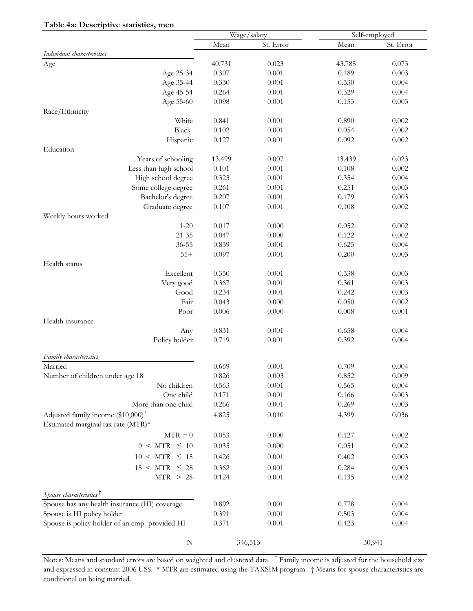|                                                |        | Wage/salary |        | Self-employed |
|------------------------------------------------|--------|-------------|--------|---------------|
|                                                | Mean   | St. Error   | Mean   | St. Error     |
| Individual characteristics                     |        |             |        |               |
| Age                                            | 40.731 | 0.023       | 43.785 | 0.073         |
| Age 25-34                                      | 0.307  | 0.001       | 0.189  | 0.003         |
| Age 35-44                                      | 0.330  | 0.001       | 0.330  | 0.004         |
| Age 45-54                                      | 0.264  | 0.001       | 0.329  | 0.004         |
| Age 55-60                                      | 0.098  | 0.001       | 0.153  | 0.003         |
| Race/Ethnicity                                 |        |             |        |               |
| White                                          | 0.841  | 0.001       | 0.890  | 0.002         |
| Black                                          | 0.102  | 0.001       | 0.054  | 0.002         |
| Hispanic                                       | 0.127  | 0.001       | 0.092  | 0.002         |
| Education                                      |        |             |        |               |
| Years of schooling                             | 13.499 | 0.007       | 13.439 | 0.023         |
| Less than high school                          | 0.101  | 0.001       | 0.108  | 0.002         |
| High school degree                             | 0.323  | 0.001       | 0.354  | 0.004         |
| Some college degree                            | 0.261  | 0.001       | 0.251  | 0.003         |
| Bachelor's degree                              | 0.207  | 0.001       | 0.179  | 0.003         |
| Graduate degree                                | 0.107  | 0.001       | 0.108  | 0.002         |
| Weekly hours worked                            |        |             |        |               |
| $1 - 20$                                       | 0.017  | 0.000       | 0.052  | 0.002         |
| $21 - 35$                                      | 0.047  | 0.000       | 0.122  | 0.002         |
| 36-55                                          | 0.839  | 0.001       | 0.625  | 0.004         |
| $55+$                                          | 0.097  | 0.001       | 0.200  | 0.003         |
| Health status                                  |        |             |        |               |
| Excellent                                      | 0.350  | 0.001       | 0.338  | 0.003         |
| Very good                                      | 0.367  | 0.001       | 0.361  | 0.003         |
| Good                                           | 0.234  | 0.001       | 0.242  | 0.003         |
| Fair                                           | 0.043  | 0.000       | 0.050  | 0.002         |
| Poor                                           | 0.006  | 0.000       | 0.008  | 0.001         |
| Health insurance                               |        |             |        |               |
| Any                                            | 0.831  | 0.001       | 0.658  | 0.004         |
| Policy holder                                  | 0.719  | 0.001       | 0.392  | 0.004         |
| Family characteristics                         |        |             |        |               |
| Married                                        | 0.669  | 0.001       | 0.709  | 0.004         |
| Number of children under age 18                | 0.826  | 0.003       | 0.852  | 0.009         |
| No children                                    | 0.563  | 0.001       | 0.565  | 0.004         |
| One child                                      | 0.171  | 0.001       | 0.166  | 0.003         |
| More than one child                            | 0.266  | 0.001       | 0.269  | 0.003         |
| Adjusted family income (\$10,000) <sup>+</sup> | 4.825  | 0.010       | 4.399  | 0.036         |
| Estimated marginal tax rate (MTR)*             |        |             |        |               |
| $MTR = 0$                                      | 0.053  | 0.000       | 0.127  | 0.002         |
| $0 \leq MTR \leq 10$                           | 0.035  | 0.000       | 0.051  | 0.002         |
| $10 \leq MTR \leq 15$                          | 0.426  |             |        | 0.003         |
|                                                |        | 0.001       | 0.402  |               |
| $15 < MTR \leq 28$                             | 0.362  | 0.001       | 0.284  | 0.003         |
| MTR > 28                                       | 0.124  | 0.001       | 0.135  | 0.002         |
| Spouse characteristics <sup>†</sup>            |        |             |        |               |
| Spouse has any health insurance (HI) coverage  | 0.892  | 0.001       | 0.778  | 0.004         |
| Spouse is HI policy holder                     | 0.391  | 0.001       | 0.503  | 0.004         |
| Spouse is policy holder of an emp.-provided HI | 0.371  | 0.001       | 0.423  | 0.004         |
|                                                |        |             |        |               |
| N                                              |        | 346,513     |        | 30,941        |

#### conditional on being married. Notes: Means and standard errors are based on weighted and clustered data. <sup>+</sup> Family income is adjusted for the household size and expressed in constant 2006 US\$. \* MTR are estimated using the TAXSIM program. † Means for spouse characteristics are

#### **Table 4a: Descriptive statistics, men**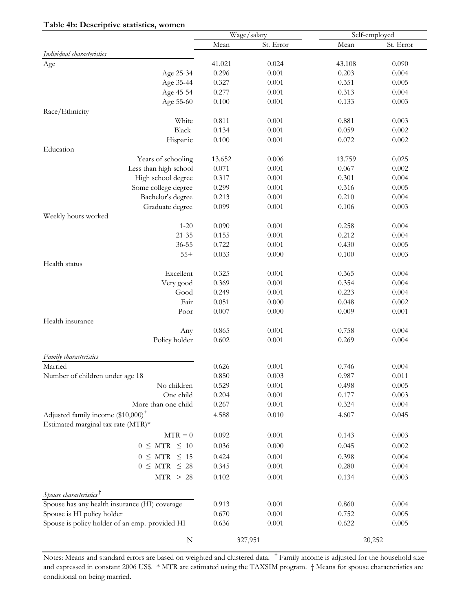| Table 4b: Descriptive statistics, women        | Wage/salary |           |        | Self-employed |
|------------------------------------------------|-------------|-----------|--------|---------------|
|                                                | Mean        | St. Error | Mean   | St. Error     |
| Individual characteristics                     |             |           |        |               |
| Age                                            | 41.021      | 0.024     | 43.108 | 0.090         |
| Age 25-34                                      | 0.296       | 0.001     | 0.203  | 0.004         |
| Age 35-44                                      | 0.327       | 0.001     | 0.351  | 0.005         |
| Age 45-54                                      | 0.277       | 0.001     | 0.313  | 0.004         |
| Age 55-60                                      | 0.100       | 0.001     | 0.133  | 0.003         |
| Race/Ethnicity                                 |             |           |        |               |
| White                                          | 0.811       | 0.001     | 0.881  | 0.003         |
| Black                                          | 0.134       | 0.001     | 0.059  | 0.002         |
| Hispanic                                       | $0.100\,$   | 0.001     | 0.072  | 0.002         |
| Education                                      |             |           |        |               |
| Years of schooling                             | 13.652      | 0.006     | 13.759 | 0.025         |
| Less than high school                          | 0.071       | 0.001     | 0.067  | 0.002         |
| High school degree                             | 0.317       | 0.001     | 0.301  | 0.004         |
| Some college degree                            | 0.299       | 0.001     | 0.316  | 0.005         |
| Bachelor's degree                              | 0.213       | 0.001     | 0.210  | 0.004         |
| Graduate degree                                | 0.099       | 0.001     | 0.106  | 0.003         |
| Weekly hours worked                            |             |           |        |               |
| $1 - 20$                                       | 0.090       | 0.001     | 0.258  | 0.004         |
| $21 - 35$                                      | 0.155       | 0.001     | 0.212  | 0.004         |
| $36 - 55$                                      | 0.722       | 0.001     | 0.430  | 0.005         |
| $55+$                                          | 0.033       | 0.000     | 0.100  | 0.003         |
| Health status                                  |             |           |        |               |
| Excellent                                      | 0.325       | 0.001     | 0.365  | 0.004         |
| Very good                                      | 0.369       | 0.001     | 0.354  | 0.004         |
| Good                                           | 0.249       | 0.001     | 0.223  | 0.004         |
| Fair                                           | 0.051       | 0.000     | 0.048  | 0.002         |
| Poor                                           | 0.007       | 0.000     | 0.009  | 0.001         |
| Health insurance                               |             |           |        |               |
| Any                                            | 0.865       | 0.001     | 0.758  | 0.004         |
| Policy holder                                  | 0.602       | 0.001     | 0.269  | 0.004         |
| Family characteristics                         |             |           |        |               |
| Married                                        | 0.626       | 0.001     | 0.746  | 0.004         |
| Number of children under age 18                | 0.850       | 0.003     | 0.987  | 0.011         |
| No children                                    | 0.529       | 0.001     | 0.498  | 0.005         |
| One child                                      | 0.204       | 0.001     | 0.177  | 0.003         |
| More than one child                            | 0.267       | 0.001     | 0.324  | 0.004         |
| Adjusted family income (\$10,000) <sup>+</sup> | 4.588       | 0.010     | 4.607  | 0.045         |
| Estimated marginal tax rate (MTR)*             |             |           |        |               |
| $MTR = 0$                                      | 0.092       | 0.001     | 0.143  | 0.003         |
| $0 \leq MTR \leq 10$                           | 0.036       | 0.000     | 0.045  | 0.002         |
|                                                |             |           |        |               |
| $0 \leq MTR \leq 15$                           | 0.424       | 0.001     | 0.398  | 0.004         |
| $0 \leq MTR \leq 28$                           | 0.345       | 0.001     | 0.280  | 0.004         |
| MTR > 28                                       | 0.102       | 0.001     | 0.134  | 0.003         |
| Spouse characteristics <sup>†</sup>            |             |           |        |               |
| Spouse has any health insurance (HI) coverage  | 0.913       | 0.001     | 0.860  | 0.004         |
| Spouse is HI policy holder                     | $0.670\,$   | 0.001     | 0.752  | 0.005         |
| Spouse is policy holder of an emp.-provided HI | 0.636       | 0.001     | 0.622  | 0.005         |
|                                                |             |           |        |               |
| ${\bf N}$                                      |             | 327,951   |        | 20,252        |

conditional on being married. and expressed in constant 2006 US\$. \* MTR are estimated using the TAXSIM program. † Means for spouse characteristics are Notes: Means and standard errors are based on weighted and clustered data. <sup>+</sup> Family income is adjusted for the household size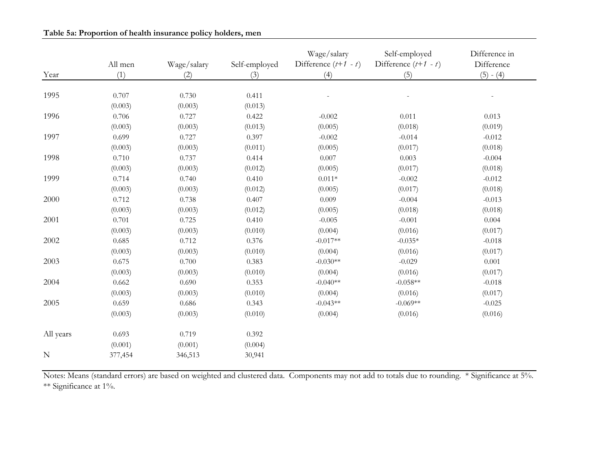|           | All men | Wage/salary | Self-employed | Wage/salary<br>Difference $(t+1 - t)$ | Self-employed<br>Difference $(t+1 - t)$ | Difference in<br>Difference |
|-----------|---------|-------------|---------------|---------------------------------------|-----------------------------------------|-----------------------------|
| Year      | (1)     | (2)         | (3)           | (4)                                   | (5)                                     | $(5) - (4)$                 |
| 1995      | 0.707   | 0.730       | 0.411         |                                       |                                         |                             |
|           | (0.003) | (0.003)     | (0.013)       |                                       |                                         |                             |
| 1996      | 0.706   | 0.727       | 0.422         | $-0.002$                              | 0.011                                   | 0.013                       |
|           | (0.003) | (0.003)     | (0.013)       | (0.005)                               | (0.018)                                 | (0.019)                     |
| 1997      | 0.699   | 0.727       | 0.397         | $-0.002$                              | $-0.014$                                | $-0.012$                    |
|           | (0.003) | (0.003)     | (0.011)       | (0.005)                               | (0.017)                                 | (0.018)                     |
| 1998      | 0.710   | 0.737       | 0.414         | 0.007                                 | 0.003                                   | $-0.004$                    |
|           | (0.003) | (0.003)     | (0.012)       | (0.005)                               | (0.017)                                 | (0.018)                     |
| 1999      | 0.714   | 0.740       | 0.410         | $0.011*$                              | $-0.002$                                | $-0.012$                    |
|           | (0.003) | (0.003)     | (0.012)       | (0.005)                               | (0.017)                                 | (0.018)                     |
| 2000      | 0.712   | 0.738       | 0.407         | 0.009                                 | $-0.004$                                | $-0.013$                    |
|           | (0.003) | (0.003)     | (0.012)       | (0.005)                               | (0.018)                                 | (0.018)                     |
| 2001      | 0.701   | 0.725       | 0.410         | $-0.005$                              | $-0.001$                                | 0.004                       |
|           | (0.003) | (0.003)     | (0.010)       | (0.004)                               | (0.016)                                 | (0.017)                     |
| 2002      | 0.685   | 0.712       | 0.376         | $-0.017**$                            | $-0.035*$                               | $-0.018$                    |
|           | (0.003) | (0.003)     | (0.010)       | (0.004)                               | (0.016)                                 | (0.017)                     |
| 2003      | 0.675   | 0.700       | 0.383         | $-0.030**$                            | $-0.029$                                | 0.001                       |
|           | (0.003) | (0.003)     | (0.010)       | (0.004)                               | (0.016)                                 | (0.017)                     |
| 2004      | 0.662   | 0.690       | 0.353         | $-0.040**$                            | $-0.058**$                              | $-0.018$                    |
|           | (0.003) | (0.003)     | (0.010)       | (0.004)                               | (0.016)                                 | (0.017)                     |
| 2005      | 0.659   | 0.686       | 0.343         | $-0.043**$                            | $-0.069**$                              | $-0.025$                    |
|           | (0.003) | (0.003)     | (0.010)       | (0.004)                               | (0.016)                                 | (0.016)                     |
| All years | 0.693   | 0.719       | 0.392         |                                       |                                         |                             |
|           | (0.001) | (0.001)     | (0.004)       |                                       |                                         |                             |
| ${\bf N}$ | 377,454 | 346,513     | 30,941        |                                       |                                         |                             |

#### **Table 5a: Proportion of health insurance policy holders, men**

Notes: Means (standard errors) are based on weighted and clustered data. Components may not add to totals due to rounding. \* Significance at 5%. \*\* Significance at 1%.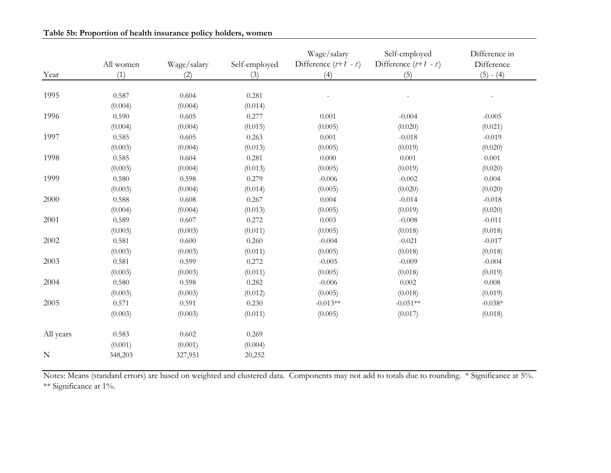|           | All women | Wage/salary | Self-employed | Wage/salary<br>Difference $(t+1 - t)$ | Self-employed<br>Difference $(t+1 - t)$ | Difference in<br>Difference |
|-----------|-----------|-------------|---------------|---------------------------------------|-----------------------------------------|-----------------------------|
| Year      | (1)       | (2)         | (3)           | (4)                                   | (5)                                     | $(5) - (4)$                 |
|           |           |             |               |                                       |                                         |                             |
| 1995      | 0.587     | 0.604       | 0.281         |                                       |                                         |                             |
|           | (0.004)   | (0.004)     | (0.014)       |                                       |                                         |                             |
| 1996      | 0.590     | 0.605       | 0.277         | 0.001                                 | $-0.004$                                | $-0.005$                    |
|           | (0.004)   | (0.004)     | (0.015)       | (0.005)                               | (0.020)                                 | (0.021)                     |
| 1997      | 0.585     | 0.605       | 0.263         | 0.001                                 | $-0.018$                                | $-0.019$                    |
|           | (0.003)   | (0.004)     | (0.013)       | (0.005)                               | (0.019)                                 | (0.020)                     |
| 1998      | 0.585     | 0.604       | 0.281         | $0.000\,$                             | 0.001                                   | 0.001                       |
|           | (0.003)   | (0.004)     | (0.013)       | (0.005)                               | (0.019)                                 | (0.020)                     |
| 1999      | 0.580     | 0.598       | 0.279         | $-0.006$                              | $-0.002$                                | 0.004                       |
|           | (0.003)   | (0.004)     | (0.014)       | (0.005)                               | (0.020)                                 | (0.020)                     |
| 2000      | 0.588     | 0.608       | 0.267         | 0.004                                 | $-0.014$                                | $-0.018$                    |
|           | (0.004)   | (0.004)     | (0.013)       | (0.005)                               | (0.019)                                 | (0.020)                     |
| 2001      | 0.589     | 0.607       | 0.272         | 0.003                                 | $-0.008$                                | $-0.011$                    |
|           | (0.003)   | (0.003)     | (0.011)       | (0.005)                               | (0.018)                                 | (0.018)                     |
| 2002      | 0.581     | 0.600       | 0.260         | $-0.004$                              | $-0.021$                                | $-0.017$                    |
|           | (0.003)   | (0.003)     | (0.011)       | (0.005)                               | (0.018)                                 | (0.018)                     |
| 2003      | 0.581     | 0.599       | 0.272         | $-0.005$                              | $-0.009$                                | $-0.004$                    |
|           | (0.003)   | (0.003)     | (0.011)       | (0.005)                               | (0.018)                                 | (0.019)                     |
| 2004      | 0.580     | 0.598       | 0.282         | $-0.006$                              | 0.002                                   | 0.008                       |
|           | (0.003)   | (0.003)     | (0.012)       | (0.005)                               | (0.018)                                 | (0.019)                     |
| 2005      | 0.571     | 0.591       | 0.230         | $-0.013**$                            | $-0.051**$                              | $-0.038*$                   |
|           | (0.003)   | (0.003)     | (0.011)       | (0.005)                               | (0.017)                                 | (0.018)                     |
| All years | 0.583     | 0.602       | 0.269         |                                       |                                         |                             |
|           | (0.001)   | (0.001)     | (0.004)       |                                       |                                         |                             |
| ${\bf N}$ | 348,203   | 327,951     | 20,252        |                                       |                                         |                             |

#### **Table 5b: Proportion of health insurance policy holders, women**

Notes: Means (standard errors) are based on weighted and clustered data. Components may not add to totals due to rounding. \* Significance at 5%. \*\* Significance at 1%.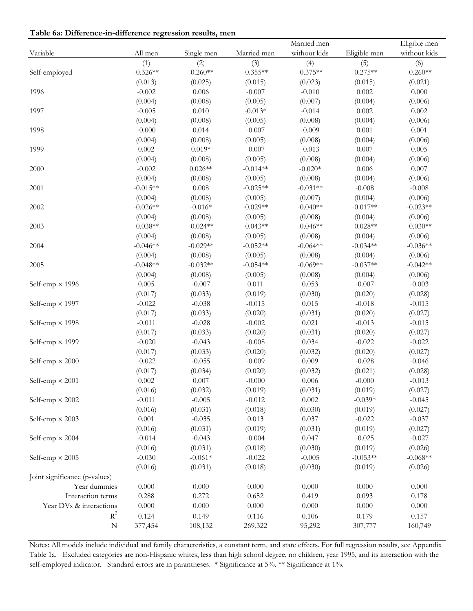|  |  | Table 6a: Difference-in-difference regression results, men |  |
|--|--|------------------------------------------------------------|--|
|  |  |                                                            |  |

|                               |            |            |             | Married men  |              | Eligible men |
|-------------------------------|------------|------------|-------------|--------------|--------------|--------------|
| Variable                      | All men    | Single men | Married men | without kids | Eligible men | without kids |
|                               | (1)        | (2)        | (3)         | (4)          | (5)          | (6)          |
| Self-employed                 | $-0.326**$ | $-0.260**$ | $-0.355**$  | $-0.375**$   | $-0.275**$   | $-0.260**$   |
|                               | (0.013)    | (0.025)    | (0.015)     | (0.023)      | (0.015)      | (0.021)      |
| 1996                          | $-0.002$   | 0.006      | $-0.007$    | $-0.010$     | 0.002        | 0.000        |
|                               | (0.004)    | (0.008)    | (0.005)     | (0.007)      | (0.004)      | (0.006)      |
| 1997                          | $-0.005$   | 0.010      | $-0.013*$   | $-0.014$     | 0.002        | 0.002        |
|                               | (0.004)    | (0.008)    | (0.005)     | (0.008)      | (0.004)      | (0.006)      |
| 1998                          | $-0.000$   | 0.014      | $-0.007$    | $-0.009$     | 0.001        | 0.001        |
|                               | (0.004)    | (0.008)    | (0.005)     | (0.008)      | (0.004)      | (0.006)      |
| 1999                          | 0.002      | $0.019*$   | $-0.007$    | $-0.013$     | 0.007        | 0.005        |
|                               | (0.004)    | (0.008)    | (0.005)     | (0.008)      | (0.004)      | (0.006)      |
| 2000                          | $-0.002$   | $0.026**$  | $-0.014**$  | $-0.020*$    | 0.006        | 0.007        |
|                               | (0.004)    | (0.008)    | (0.005)     | (0.008)      | (0.004)      | (0.006)      |
| 2001                          | $-0.015**$ | 0.008      | $-0.025**$  | $-0.031**$   | $-0.008$     | $-0.008$     |
|                               | (0.004)    | (0.008)    | (0.005)     | (0.007)      | (0.004)      | (0.006)      |
| 2002                          | $-0.026**$ | $-0.016*$  | $-0.029**$  | $-0.040**$   | $-0.017**$   | $-0.023**$   |
|                               | (0.004)    | (0.008)    | (0.005)     | (0.008)      | (0.004)      | (0.006)      |
| 2003                          | $-0.038**$ | $-0.024**$ | $-0.043**$  | $-0.046**$   | $-0.028**$   | $-0.030**$   |
|                               | (0.004)    | (0.008)    | (0.005)     | (0.008)      | (0.004)      | (0.006)      |
| 2004                          | $-0.046**$ | $-0.029**$ | $-0.052**$  | $-0.064**$   | $-0.034**$   | $-0.036**$   |
|                               | (0.004)    | (0.008)    | (0.005)     | (0.008)      | (0.004)      | (0.006)      |
| 2005                          | $-0.048**$ | $-0.032**$ | $-0.054**$  | $-0.069**$   | $-0.037**$   | $-0.042**$   |
|                               | (0.004)    | (0.008)    | (0.005)     | (0.008)      | (0.004)      | (0.006)      |
| Self-emp $\times$ 1996        | 0.005      | $-0.007$   | 0.011       | 0.053        | $-0.007$     | $-0.003$     |
|                               | (0.017)    | (0.033)    | (0.019)     | (0.030)      | (0.020)      | (0.028)      |
| Self-emp $\times$ 1997        | $-0.022$   | $-0.038$   | $-0.015$    | 0.015        | $-0.018$     | $-0.015$     |
|                               | (0.017)    | (0.033)    | (0.020)     | (0.031)      | (0.020)      | (0.027)      |
| Self-emp $\times$ 1998        | $-0.011$   | $-0.028$   | $-0.002$    | 0.021        | $-0.013$     | $-0.015$     |
|                               | (0.017)    | (0.033)    | (0.020)     | (0.031)      | (0.020)      | (0.027)      |
| Self-emp $\times$ 1999        | $-0.020$   | $-0.043$   | $-0.008$    | 0.034        | $-0.022$     | $-0.022$     |
|                               | (0.017)    | (0.033)    | (0.020)     | (0.032)      | (0.020)      | (0.027)      |
| Self-emp $\times 2000$        | $-0.022$   | $-0.055$   | $-0.009$    | 0.009        | $-0.028$     | $-0.046$     |
|                               | (0.017)    | (0.034)    | (0.020)     | (0.032)      | (0.021)      | (0.028)      |
| Self-emp $\times$ 2001        | 0.002      | 0.007      | $-0.000$    | 0.006        | $-0.000$     | $-0.013$     |
|                               | (0.016)    | (0.032)    | (0.019)     | (0.031)      | (0.019)      | (0.027)      |
| Self-emp $\times$ 2002        | $-0.011$   | $-0.005$   | $-0.012$    | 0.002        | $-0.039*$    | $-0.045$     |
|                               | (0.016)    | (0.031)    | (0.018)     | (0.030)      | (0.019)      | (0.027)      |
| Self-emp $\times$ 2003        | 0.001      | $-0.035$   | 0.013       | 0.037        | $-0.022$     | $-0.037$     |
|                               | (0.016)    | (0.031)    | (0.019)     | (0.031)      | (0.019)      | (0.027)      |
| Self-emp $\times$ 2004        | $-0.014$   | $-0.043$   | $-0.004$    | 0.047        | $-0.025$     | $-0.027$     |
|                               | (0.016)    | (0.031)    | (0.018)     | (0.030)      | (0.019)      | (0.026)      |
| Self-emp $\times$ 2005        | $-0.030$   | $-0.061*$  | $-0.022$    | $-0.005$     | $-0.053**$   | $-0.068**$   |
|                               | (0.016)    | (0.031)    | (0.018)     | (0.030)      | (0.019)      | (0.026)      |
| Joint significance (p-values) |            |            |             |              |              |              |
| Year dummies                  | $0.000\,$  | 0.000      | $0.000\,$   | 0.000        | $0.000\,$    | $0.000\,$    |
| Interaction terms             | 0.288      | 0.272      | 0.652       | 0.419        | 0.093        | 0.178        |
| Year DVs & interactions       | 0.000      | 0.000      | $0.000\,$   | 0.000        | $0.000\,$    | $0.000\,$    |
| $R^2$                         | 0.124      | 0.149      | 0.116       | 0.106        | 0.179        | $0.157\,$    |
| ${\bf N}$                     | 377,454    | 108,132    | 269,322     | 95,292       | 307,777      | 160,749      |
|                               |            |            |             |              |              |              |

Notes: All models include individual and family characteristics, a constant term, and state effects. For full regression results, see Appendix Table 1a. Excluded categories are non-Hispanic whites, less than high school degree, no children, year 1995, and its interaction with the self-employed indicator. Standard errors are in parantheses. \* Significance at 5%. \*\* Significance at 1%.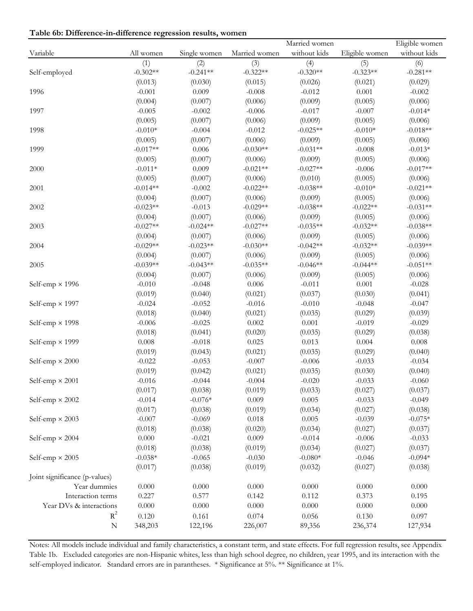**Table 6b: Difference-in-difference regression results, women**

| without kids<br>without kids<br>All women<br>Married women<br>Eligible women<br>Single women<br>(1)<br>(2)<br>(3)<br>(4)<br>(5)<br>(6)<br>$-0.302**$<br>$-0.281**$<br>$-0.241**$<br>$-0.322**$<br>$-0.320**$<br>$-0.323**$<br>(0.013)<br>(0.030)<br>(0.015)<br>(0.026)<br>(0.021)<br>(0.029)<br>$-0.001$<br>0.009<br>$-0.008$<br>$-0.012$<br>0.001<br>$-0.002$<br>(0.004)<br>(0.006)<br>(0.007)<br>(0.006)<br>(0.009)<br>(0.005)<br>$-0.005$<br>$-0.002$<br>$-0.006$<br>$-0.017$<br>$-0.007$<br>$-0.014*$<br>(0.005)<br>(0.007)<br>(0.006)<br>(0.009)<br>(0.005)<br>(0.006)<br>$-0.018**$<br>$-0.010*$<br>$-0.004$<br>$-0.012$<br>$-0.025**$<br>$-0.010*$<br>(0.007)<br>(0.005)<br>(0.006)<br>(0.005)<br>(0.006)<br>(0.009)<br>$-0.017**$<br>0.006<br>$-0.030**$<br>$-0.031**$<br>$-0.008$<br>$-0.013*$<br>(0.005)<br>(0.007)<br>(0.006)<br>(0.009)<br>(0.006)<br>(0.005)<br>0.009<br>$-0.021**$<br>$-0.027**$<br>$-0.017**$<br>$-0.011*$<br>$-0.006$<br>(0.005)<br>(0.007)<br>(0.006)<br>(0.010)<br>(0.005)<br>(0.006)<br>$-0.021**$<br>$-0.014**$<br>$-0.002$<br>$-0.022**$<br>$-0.038**$<br>$-0.010*$<br>(0.004)<br>(0.007)<br>(0.006)<br>(0.009)<br>(0.005)<br>(0.006)<br>$-0.031**$<br>$-0.023**$<br>$-0.013$<br>$-0.029**$<br>$-0.038**$<br>$-0.022**$<br>(0.007)<br>(0.004)<br>(0.006)<br>(0.009)<br>(0.005)<br>(0.006)<br>$-0.027**$<br>$-0.024**$<br>$-0.027**$<br>$-0.035**$<br>$-0.032**$<br>$-0.038**$<br>(0.004)<br>(0.007)<br>(0.006)<br>(0.009)<br>(0.005)<br>(0.006)<br>$-0.039**$<br>$-0.029**$<br>$-0.023**$<br>$-0.030**$<br>$-0.042**$<br>$-0.032**$<br>(0.004)<br>(0.007)<br>(0.006)<br>(0.009)<br>(0.005)<br>(0.006)<br>$-0.039**$<br>$-0.035**$<br>$-0.044**$<br>$-0.051**$<br>$-0.043**$<br>$-0.046**$<br>(0.004)<br>(0.007)<br>(0.006)<br>(0.009)<br>(0.005)<br>(0.006)<br>$-0.028$<br>Self-emp $\times$ 1996<br>$-0.010$<br>$-0.048$<br>0.006<br>$-0.011$<br>0.001<br>(0.019)<br>(0.040)<br>(0.021)<br>(0.037)<br>(0.030)<br>(0.041)<br>$-0.016$<br>$-0.048$<br>Self-emp × 1997<br>$-0.024$<br>$-0.052$<br>$-0.010$<br>$-0.047$<br>(0.018)<br>(0.040)<br>(0.021)<br>(0.035)<br>(0.029)<br>(0.039)<br>$-0.006$<br>$-0.025$<br>$0.002\,$<br>0.001<br>$-0.019$<br>$-0.029$<br>Self-emp $\times$ 1998<br>(0.018)<br>(0.041)<br>(0.020)<br>(0.035)<br>(0.029)<br>(0.038)<br>0.008<br>$-0.018$<br>0.025<br>0.013<br>0.004<br>$0.008\,$<br>Self-emp $\times$ 1999<br>(0.019)<br>(0.043)<br>(0.021)<br>(0.035)<br>(0.029)<br>(0.040)<br>$-0.022$<br>$-0.053$<br>$-0.007$<br>$-0.006$<br>$-0.033$<br>$-0.034$<br>Self-emp $\times 2000$<br>(0.019)<br>(0.042)<br>(0.021)<br>(0.035)<br>(0.030)<br>(0.040)<br>$-0.016$<br>$-0.020$<br>$-0.033$<br>$-0.060$<br>Self-emp $\times$ 2001<br>$-0.044$<br>$-0.004$<br>(0.017)<br>(0.038)<br>(0.019)<br>(0.033)<br>(0.027)<br>(0.037)<br>$-0.014$<br>$-0.076*$<br>0.009<br>0.005<br>$-0.033$<br>$-0.049$<br>Self-emp $\times$ 2002<br>(0.017)<br>(0.038)<br>(0.038)<br>(0.019)<br>(0.034)<br>(0.027)<br>$-0.007$<br>0.005<br>$-0.039$<br>$-0.075*$<br>Self-emp $\times$ 2003<br>$-0.069$<br>0.018<br>(0.018)<br>(0.038)<br>(0.020)<br>(0.034)<br>(0.027)<br>(0.037)<br>0.000<br>$-0.021$<br>0.009<br>$-0.014$<br>$-0.006$<br>$-0.033$<br>Self-emp $\times$ 2004<br>(0.018)<br>(0.038)<br>(0.019)<br>(0.034)<br>(0.027)<br>(0.037)<br>$-0.080*$<br>$-0.094*$<br>$-0.038*$<br>$-0.065$<br>$-0.030$<br>$-0.046$<br>Self-emp $\times$ 2005<br>(0.019)<br>(0.017)<br>(0.038)<br>(0.032)<br>(0.027)<br>(0.038)<br>Joint significance (p-values)<br>Year dummies<br>$0.000\,$<br>$0.000\,$<br>0.000<br>0.000<br>$0.000\,$<br>0.000<br>Interaction terms<br>0.227<br>0.112<br>0.373<br>0.195<br>0.577<br>0.142<br>Year DVs & interactions<br>$0.000\,$<br>0.000<br>0.000<br>0.000<br>$0.000\,$<br>0.000<br>$R^2$<br>0.120<br>0.161<br>0.074<br>0.056<br>0.130<br>0.097<br>${\bf N}$<br>348,203<br>226,007<br>127,934<br>122,196<br>89,356<br>236,374 |               |  | Married women | Eligible women |
|-------------------------------------------------------------------------------------------------------------------------------------------------------------------------------------------------------------------------------------------------------------------------------------------------------------------------------------------------------------------------------------------------------------------------------------------------------------------------------------------------------------------------------------------------------------------------------------------------------------------------------------------------------------------------------------------------------------------------------------------------------------------------------------------------------------------------------------------------------------------------------------------------------------------------------------------------------------------------------------------------------------------------------------------------------------------------------------------------------------------------------------------------------------------------------------------------------------------------------------------------------------------------------------------------------------------------------------------------------------------------------------------------------------------------------------------------------------------------------------------------------------------------------------------------------------------------------------------------------------------------------------------------------------------------------------------------------------------------------------------------------------------------------------------------------------------------------------------------------------------------------------------------------------------------------------------------------------------------------------------------------------------------------------------------------------------------------------------------------------------------------------------------------------------------------------------------------------------------------------------------------------------------------------------------------------------------------------------------------------------------------------------------------------------------------------------------------------------------------------------------------------------------------------------------------------------------------------------------------------------------------------------------------------------------------------------------------------------------------------------------------------------------------------------------------------------------------------------------------------------------------------------------------------------------------------------------------------------------------------------------------------------------------------------------------------------------------------------------------------------------------------------------------------------------------------------------------------------------------------------------------------------------------------------------------------------------------------------------------------------------------------------------------------------------------------------------------------------------------------------------------------------------------------------------------------------------------------------------------------------------------------------------------------------------------------------------------------------------------------------------------------------------------------------------------------------------------------------------------------------------------------------------------|---------------|--|---------------|----------------|
|                                                                                                                                                                                                                                                                                                                                                                                                                                                                                                                                                                                                                                                                                                                                                                                                                                                                                                                                                                                                                                                                                                                                                                                                                                                                                                                                                                                                                                                                                                                                                                                                                                                                                                                                                                                                                                                                                                                                                                                                                                                                                                                                                                                                                                                                                                                                                                                                                                                                                                                                                                                                                                                                                                                                                                                                                                                                                                                                                                                                                                                                                                                                                                                                                                                                                                                                                                                                                                                                                                                                                                                                                                                                                                                                                                                                                                                                                                       | Variable      |  |               |                |
|                                                                                                                                                                                                                                                                                                                                                                                                                                                                                                                                                                                                                                                                                                                                                                                                                                                                                                                                                                                                                                                                                                                                                                                                                                                                                                                                                                                                                                                                                                                                                                                                                                                                                                                                                                                                                                                                                                                                                                                                                                                                                                                                                                                                                                                                                                                                                                                                                                                                                                                                                                                                                                                                                                                                                                                                                                                                                                                                                                                                                                                                                                                                                                                                                                                                                                                                                                                                                                                                                                                                                                                                                                                                                                                                                                                                                                                                                                       |               |  |               |                |
|                                                                                                                                                                                                                                                                                                                                                                                                                                                                                                                                                                                                                                                                                                                                                                                                                                                                                                                                                                                                                                                                                                                                                                                                                                                                                                                                                                                                                                                                                                                                                                                                                                                                                                                                                                                                                                                                                                                                                                                                                                                                                                                                                                                                                                                                                                                                                                                                                                                                                                                                                                                                                                                                                                                                                                                                                                                                                                                                                                                                                                                                                                                                                                                                                                                                                                                                                                                                                                                                                                                                                                                                                                                                                                                                                                                                                                                                                                       | Self-employed |  |               |                |
|                                                                                                                                                                                                                                                                                                                                                                                                                                                                                                                                                                                                                                                                                                                                                                                                                                                                                                                                                                                                                                                                                                                                                                                                                                                                                                                                                                                                                                                                                                                                                                                                                                                                                                                                                                                                                                                                                                                                                                                                                                                                                                                                                                                                                                                                                                                                                                                                                                                                                                                                                                                                                                                                                                                                                                                                                                                                                                                                                                                                                                                                                                                                                                                                                                                                                                                                                                                                                                                                                                                                                                                                                                                                                                                                                                                                                                                                                                       |               |  |               |                |
|                                                                                                                                                                                                                                                                                                                                                                                                                                                                                                                                                                                                                                                                                                                                                                                                                                                                                                                                                                                                                                                                                                                                                                                                                                                                                                                                                                                                                                                                                                                                                                                                                                                                                                                                                                                                                                                                                                                                                                                                                                                                                                                                                                                                                                                                                                                                                                                                                                                                                                                                                                                                                                                                                                                                                                                                                                                                                                                                                                                                                                                                                                                                                                                                                                                                                                                                                                                                                                                                                                                                                                                                                                                                                                                                                                                                                                                                                                       | 1996          |  |               |                |
|                                                                                                                                                                                                                                                                                                                                                                                                                                                                                                                                                                                                                                                                                                                                                                                                                                                                                                                                                                                                                                                                                                                                                                                                                                                                                                                                                                                                                                                                                                                                                                                                                                                                                                                                                                                                                                                                                                                                                                                                                                                                                                                                                                                                                                                                                                                                                                                                                                                                                                                                                                                                                                                                                                                                                                                                                                                                                                                                                                                                                                                                                                                                                                                                                                                                                                                                                                                                                                                                                                                                                                                                                                                                                                                                                                                                                                                                                                       |               |  |               |                |
|                                                                                                                                                                                                                                                                                                                                                                                                                                                                                                                                                                                                                                                                                                                                                                                                                                                                                                                                                                                                                                                                                                                                                                                                                                                                                                                                                                                                                                                                                                                                                                                                                                                                                                                                                                                                                                                                                                                                                                                                                                                                                                                                                                                                                                                                                                                                                                                                                                                                                                                                                                                                                                                                                                                                                                                                                                                                                                                                                                                                                                                                                                                                                                                                                                                                                                                                                                                                                                                                                                                                                                                                                                                                                                                                                                                                                                                                                                       | 1997          |  |               |                |
|                                                                                                                                                                                                                                                                                                                                                                                                                                                                                                                                                                                                                                                                                                                                                                                                                                                                                                                                                                                                                                                                                                                                                                                                                                                                                                                                                                                                                                                                                                                                                                                                                                                                                                                                                                                                                                                                                                                                                                                                                                                                                                                                                                                                                                                                                                                                                                                                                                                                                                                                                                                                                                                                                                                                                                                                                                                                                                                                                                                                                                                                                                                                                                                                                                                                                                                                                                                                                                                                                                                                                                                                                                                                                                                                                                                                                                                                                                       |               |  |               |                |
|                                                                                                                                                                                                                                                                                                                                                                                                                                                                                                                                                                                                                                                                                                                                                                                                                                                                                                                                                                                                                                                                                                                                                                                                                                                                                                                                                                                                                                                                                                                                                                                                                                                                                                                                                                                                                                                                                                                                                                                                                                                                                                                                                                                                                                                                                                                                                                                                                                                                                                                                                                                                                                                                                                                                                                                                                                                                                                                                                                                                                                                                                                                                                                                                                                                                                                                                                                                                                                                                                                                                                                                                                                                                                                                                                                                                                                                                                                       | 1998          |  |               |                |
|                                                                                                                                                                                                                                                                                                                                                                                                                                                                                                                                                                                                                                                                                                                                                                                                                                                                                                                                                                                                                                                                                                                                                                                                                                                                                                                                                                                                                                                                                                                                                                                                                                                                                                                                                                                                                                                                                                                                                                                                                                                                                                                                                                                                                                                                                                                                                                                                                                                                                                                                                                                                                                                                                                                                                                                                                                                                                                                                                                                                                                                                                                                                                                                                                                                                                                                                                                                                                                                                                                                                                                                                                                                                                                                                                                                                                                                                                                       |               |  |               |                |
|                                                                                                                                                                                                                                                                                                                                                                                                                                                                                                                                                                                                                                                                                                                                                                                                                                                                                                                                                                                                                                                                                                                                                                                                                                                                                                                                                                                                                                                                                                                                                                                                                                                                                                                                                                                                                                                                                                                                                                                                                                                                                                                                                                                                                                                                                                                                                                                                                                                                                                                                                                                                                                                                                                                                                                                                                                                                                                                                                                                                                                                                                                                                                                                                                                                                                                                                                                                                                                                                                                                                                                                                                                                                                                                                                                                                                                                                                                       | 1999          |  |               |                |
|                                                                                                                                                                                                                                                                                                                                                                                                                                                                                                                                                                                                                                                                                                                                                                                                                                                                                                                                                                                                                                                                                                                                                                                                                                                                                                                                                                                                                                                                                                                                                                                                                                                                                                                                                                                                                                                                                                                                                                                                                                                                                                                                                                                                                                                                                                                                                                                                                                                                                                                                                                                                                                                                                                                                                                                                                                                                                                                                                                                                                                                                                                                                                                                                                                                                                                                                                                                                                                                                                                                                                                                                                                                                                                                                                                                                                                                                                                       |               |  |               |                |
|                                                                                                                                                                                                                                                                                                                                                                                                                                                                                                                                                                                                                                                                                                                                                                                                                                                                                                                                                                                                                                                                                                                                                                                                                                                                                                                                                                                                                                                                                                                                                                                                                                                                                                                                                                                                                                                                                                                                                                                                                                                                                                                                                                                                                                                                                                                                                                                                                                                                                                                                                                                                                                                                                                                                                                                                                                                                                                                                                                                                                                                                                                                                                                                                                                                                                                                                                                                                                                                                                                                                                                                                                                                                                                                                                                                                                                                                                                       | 2000          |  |               |                |
|                                                                                                                                                                                                                                                                                                                                                                                                                                                                                                                                                                                                                                                                                                                                                                                                                                                                                                                                                                                                                                                                                                                                                                                                                                                                                                                                                                                                                                                                                                                                                                                                                                                                                                                                                                                                                                                                                                                                                                                                                                                                                                                                                                                                                                                                                                                                                                                                                                                                                                                                                                                                                                                                                                                                                                                                                                                                                                                                                                                                                                                                                                                                                                                                                                                                                                                                                                                                                                                                                                                                                                                                                                                                                                                                                                                                                                                                                                       |               |  |               |                |
|                                                                                                                                                                                                                                                                                                                                                                                                                                                                                                                                                                                                                                                                                                                                                                                                                                                                                                                                                                                                                                                                                                                                                                                                                                                                                                                                                                                                                                                                                                                                                                                                                                                                                                                                                                                                                                                                                                                                                                                                                                                                                                                                                                                                                                                                                                                                                                                                                                                                                                                                                                                                                                                                                                                                                                                                                                                                                                                                                                                                                                                                                                                                                                                                                                                                                                                                                                                                                                                                                                                                                                                                                                                                                                                                                                                                                                                                                                       | 2001          |  |               |                |
|                                                                                                                                                                                                                                                                                                                                                                                                                                                                                                                                                                                                                                                                                                                                                                                                                                                                                                                                                                                                                                                                                                                                                                                                                                                                                                                                                                                                                                                                                                                                                                                                                                                                                                                                                                                                                                                                                                                                                                                                                                                                                                                                                                                                                                                                                                                                                                                                                                                                                                                                                                                                                                                                                                                                                                                                                                                                                                                                                                                                                                                                                                                                                                                                                                                                                                                                                                                                                                                                                                                                                                                                                                                                                                                                                                                                                                                                                                       |               |  |               |                |
|                                                                                                                                                                                                                                                                                                                                                                                                                                                                                                                                                                                                                                                                                                                                                                                                                                                                                                                                                                                                                                                                                                                                                                                                                                                                                                                                                                                                                                                                                                                                                                                                                                                                                                                                                                                                                                                                                                                                                                                                                                                                                                                                                                                                                                                                                                                                                                                                                                                                                                                                                                                                                                                                                                                                                                                                                                                                                                                                                                                                                                                                                                                                                                                                                                                                                                                                                                                                                                                                                                                                                                                                                                                                                                                                                                                                                                                                                                       | 2002          |  |               |                |
|                                                                                                                                                                                                                                                                                                                                                                                                                                                                                                                                                                                                                                                                                                                                                                                                                                                                                                                                                                                                                                                                                                                                                                                                                                                                                                                                                                                                                                                                                                                                                                                                                                                                                                                                                                                                                                                                                                                                                                                                                                                                                                                                                                                                                                                                                                                                                                                                                                                                                                                                                                                                                                                                                                                                                                                                                                                                                                                                                                                                                                                                                                                                                                                                                                                                                                                                                                                                                                                                                                                                                                                                                                                                                                                                                                                                                                                                                                       |               |  |               |                |
|                                                                                                                                                                                                                                                                                                                                                                                                                                                                                                                                                                                                                                                                                                                                                                                                                                                                                                                                                                                                                                                                                                                                                                                                                                                                                                                                                                                                                                                                                                                                                                                                                                                                                                                                                                                                                                                                                                                                                                                                                                                                                                                                                                                                                                                                                                                                                                                                                                                                                                                                                                                                                                                                                                                                                                                                                                                                                                                                                                                                                                                                                                                                                                                                                                                                                                                                                                                                                                                                                                                                                                                                                                                                                                                                                                                                                                                                                                       | 2003          |  |               |                |
|                                                                                                                                                                                                                                                                                                                                                                                                                                                                                                                                                                                                                                                                                                                                                                                                                                                                                                                                                                                                                                                                                                                                                                                                                                                                                                                                                                                                                                                                                                                                                                                                                                                                                                                                                                                                                                                                                                                                                                                                                                                                                                                                                                                                                                                                                                                                                                                                                                                                                                                                                                                                                                                                                                                                                                                                                                                                                                                                                                                                                                                                                                                                                                                                                                                                                                                                                                                                                                                                                                                                                                                                                                                                                                                                                                                                                                                                                                       |               |  |               |                |
|                                                                                                                                                                                                                                                                                                                                                                                                                                                                                                                                                                                                                                                                                                                                                                                                                                                                                                                                                                                                                                                                                                                                                                                                                                                                                                                                                                                                                                                                                                                                                                                                                                                                                                                                                                                                                                                                                                                                                                                                                                                                                                                                                                                                                                                                                                                                                                                                                                                                                                                                                                                                                                                                                                                                                                                                                                                                                                                                                                                                                                                                                                                                                                                                                                                                                                                                                                                                                                                                                                                                                                                                                                                                                                                                                                                                                                                                                                       | 2004          |  |               |                |
|                                                                                                                                                                                                                                                                                                                                                                                                                                                                                                                                                                                                                                                                                                                                                                                                                                                                                                                                                                                                                                                                                                                                                                                                                                                                                                                                                                                                                                                                                                                                                                                                                                                                                                                                                                                                                                                                                                                                                                                                                                                                                                                                                                                                                                                                                                                                                                                                                                                                                                                                                                                                                                                                                                                                                                                                                                                                                                                                                                                                                                                                                                                                                                                                                                                                                                                                                                                                                                                                                                                                                                                                                                                                                                                                                                                                                                                                                                       |               |  |               |                |
|                                                                                                                                                                                                                                                                                                                                                                                                                                                                                                                                                                                                                                                                                                                                                                                                                                                                                                                                                                                                                                                                                                                                                                                                                                                                                                                                                                                                                                                                                                                                                                                                                                                                                                                                                                                                                                                                                                                                                                                                                                                                                                                                                                                                                                                                                                                                                                                                                                                                                                                                                                                                                                                                                                                                                                                                                                                                                                                                                                                                                                                                                                                                                                                                                                                                                                                                                                                                                                                                                                                                                                                                                                                                                                                                                                                                                                                                                                       | 2005          |  |               |                |
|                                                                                                                                                                                                                                                                                                                                                                                                                                                                                                                                                                                                                                                                                                                                                                                                                                                                                                                                                                                                                                                                                                                                                                                                                                                                                                                                                                                                                                                                                                                                                                                                                                                                                                                                                                                                                                                                                                                                                                                                                                                                                                                                                                                                                                                                                                                                                                                                                                                                                                                                                                                                                                                                                                                                                                                                                                                                                                                                                                                                                                                                                                                                                                                                                                                                                                                                                                                                                                                                                                                                                                                                                                                                                                                                                                                                                                                                                                       |               |  |               |                |
|                                                                                                                                                                                                                                                                                                                                                                                                                                                                                                                                                                                                                                                                                                                                                                                                                                                                                                                                                                                                                                                                                                                                                                                                                                                                                                                                                                                                                                                                                                                                                                                                                                                                                                                                                                                                                                                                                                                                                                                                                                                                                                                                                                                                                                                                                                                                                                                                                                                                                                                                                                                                                                                                                                                                                                                                                                                                                                                                                                                                                                                                                                                                                                                                                                                                                                                                                                                                                                                                                                                                                                                                                                                                                                                                                                                                                                                                                                       |               |  |               |                |
|                                                                                                                                                                                                                                                                                                                                                                                                                                                                                                                                                                                                                                                                                                                                                                                                                                                                                                                                                                                                                                                                                                                                                                                                                                                                                                                                                                                                                                                                                                                                                                                                                                                                                                                                                                                                                                                                                                                                                                                                                                                                                                                                                                                                                                                                                                                                                                                                                                                                                                                                                                                                                                                                                                                                                                                                                                                                                                                                                                                                                                                                                                                                                                                                                                                                                                                                                                                                                                                                                                                                                                                                                                                                                                                                                                                                                                                                                                       |               |  |               |                |
|                                                                                                                                                                                                                                                                                                                                                                                                                                                                                                                                                                                                                                                                                                                                                                                                                                                                                                                                                                                                                                                                                                                                                                                                                                                                                                                                                                                                                                                                                                                                                                                                                                                                                                                                                                                                                                                                                                                                                                                                                                                                                                                                                                                                                                                                                                                                                                                                                                                                                                                                                                                                                                                                                                                                                                                                                                                                                                                                                                                                                                                                                                                                                                                                                                                                                                                                                                                                                                                                                                                                                                                                                                                                                                                                                                                                                                                                                                       |               |  |               |                |
|                                                                                                                                                                                                                                                                                                                                                                                                                                                                                                                                                                                                                                                                                                                                                                                                                                                                                                                                                                                                                                                                                                                                                                                                                                                                                                                                                                                                                                                                                                                                                                                                                                                                                                                                                                                                                                                                                                                                                                                                                                                                                                                                                                                                                                                                                                                                                                                                                                                                                                                                                                                                                                                                                                                                                                                                                                                                                                                                                                                                                                                                                                                                                                                                                                                                                                                                                                                                                                                                                                                                                                                                                                                                                                                                                                                                                                                                                                       |               |  |               |                |
|                                                                                                                                                                                                                                                                                                                                                                                                                                                                                                                                                                                                                                                                                                                                                                                                                                                                                                                                                                                                                                                                                                                                                                                                                                                                                                                                                                                                                                                                                                                                                                                                                                                                                                                                                                                                                                                                                                                                                                                                                                                                                                                                                                                                                                                                                                                                                                                                                                                                                                                                                                                                                                                                                                                                                                                                                                                                                                                                                                                                                                                                                                                                                                                                                                                                                                                                                                                                                                                                                                                                                                                                                                                                                                                                                                                                                                                                                                       |               |  |               |                |
|                                                                                                                                                                                                                                                                                                                                                                                                                                                                                                                                                                                                                                                                                                                                                                                                                                                                                                                                                                                                                                                                                                                                                                                                                                                                                                                                                                                                                                                                                                                                                                                                                                                                                                                                                                                                                                                                                                                                                                                                                                                                                                                                                                                                                                                                                                                                                                                                                                                                                                                                                                                                                                                                                                                                                                                                                                                                                                                                                                                                                                                                                                                                                                                                                                                                                                                                                                                                                                                                                                                                                                                                                                                                                                                                                                                                                                                                                                       |               |  |               |                |
|                                                                                                                                                                                                                                                                                                                                                                                                                                                                                                                                                                                                                                                                                                                                                                                                                                                                                                                                                                                                                                                                                                                                                                                                                                                                                                                                                                                                                                                                                                                                                                                                                                                                                                                                                                                                                                                                                                                                                                                                                                                                                                                                                                                                                                                                                                                                                                                                                                                                                                                                                                                                                                                                                                                                                                                                                                                                                                                                                                                                                                                                                                                                                                                                                                                                                                                                                                                                                                                                                                                                                                                                                                                                                                                                                                                                                                                                                                       |               |  |               |                |
|                                                                                                                                                                                                                                                                                                                                                                                                                                                                                                                                                                                                                                                                                                                                                                                                                                                                                                                                                                                                                                                                                                                                                                                                                                                                                                                                                                                                                                                                                                                                                                                                                                                                                                                                                                                                                                                                                                                                                                                                                                                                                                                                                                                                                                                                                                                                                                                                                                                                                                                                                                                                                                                                                                                                                                                                                                                                                                                                                                                                                                                                                                                                                                                                                                                                                                                                                                                                                                                                                                                                                                                                                                                                                                                                                                                                                                                                                                       |               |  |               |                |
|                                                                                                                                                                                                                                                                                                                                                                                                                                                                                                                                                                                                                                                                                                                                                                                                                                                                                                                                                                                                                                                                                                                                                                                                                                                                                                                                                                                                                                                                                                                                                                                                                                                                                                                                                                                                                                                                                                                                                                                                                                                                                                                                                                                                                                                                                                                                                                                                                                                                                                                                                                                                                                                                                                                                                                                                                                                                                                                                                                                                                                                                                                                                                                                                                                                                                                                                                                                                                                                                                                                                                                                                                                                                                                                                                                                                                                                                                                       |               |  |               |                |
|                                                                                                                                                                                                                                                                                                                                                                                                                                                                                                                                                                                                                                                                                                                                                                                                                                                                                                                                                                                                                                                                                                                                                                                                                                                                                                                                                                                                                                                                                                                                                                                                                                                                                                                                                                                                                                                                                                                                                                                                                                                                                                                                                                                                                                                                                                                                                                                                                                                                                                                                                                                                                                                                                                                                                                                                                                                                                                                                                                                                                                                                                                                                                                                                                                                                                                                                                                                                                                                                                                                                                                                                                                                                                                                                                                                                                                                                                                       |               |  |               |                |
|                                                                                                                                                                                                                                                                                                                                                                                                                                                                                                                                                                                                                                                                                                                                                                                                                                                                                                                                                                                                                                                                                                                                                                                                                                                                                                                                                                                                                                                                                                                                                                                                                                                                                                                                                                                                                                                                                                                                                                                                                                                                                                                                                                                                                                                                                                                                                                                                                                                                                                                                                                                                                                                                                                                                                                                                                                                                                                                                                                                                                                                                                                                                                                                                                                                                                                                                                                                                                                                                                                                                                                                                                                                                                                                                                                                                                                                                                                       |               |  |               |                |
|                                                                                                                                                                                                                                                                                                                                                                                                                                                                                                                                                                                                                                                                                                                                                                                                                                                                                                                                                                                                                                                                                                                                                                                                                                                                                                                                                                                                                                                                                                                                                                                                                                                                                                                                                                                                                                                                                                                                                                                                                                                                                                                                                                                                                                                                                                                                                                                                                                                                                                                                                                                                                                                                                                                                                                                                                                                                                                                                                                                                                                                                                                                                                                                                                                                                                                                                                                                                                                                                                                                                                                                                                                                                                                                                                                                                                                                                                                       |               |  |               |                |
|                                                                                                                                                                                                                                                                                                                                                                                                                                                                                                                                                                                                                                                                                                                                                                                                                                                                                                                                                                                                                                                                                                                                                                                                                                                                                                                                                                                                                                                                                                                                                                                                                                                                                                                                                                                                                                                                                                                                                                                                                                                                                                                                                                                                                                                                                                                                                                                                                                                                                                                                                                                                                                                                                                                                                                                                                                                                                                                                                                                                                                                                                                                                                                                                                                                                                                                                                                                                                                                                                                                                                                                                                                                                                                                                                                                                                                                                                                       |               |  |               |                |
|                                                                                                                                                                                                                                                                                                                                                                                                                                                                                                                                                                                                                                                                                                                                                                                                                                                                                                                                                                                                                                                                                                                                                                                                                                                                                                                                                                                                                                                                                                                                                                                                                                                                                                                                                                                                                                                                                                                                                                                                                                                                                                                                                                                                                                                                                                                                                                                                                                                                                                                                                                                                                                                                                                                                                                                                                                                                                                                                                                                                                                                                                                                                                                                                                                                                                                                                                                                                                                                                                                                                                                                                                                                                                                                                                                                                                                                                                                       |               |  |               |                |
|                                                                                                                                                                                                                                                                                                                                                                                                                                                                                                                                                                                                                                                                                                                                                                                                                                                                                                                                                                                                                                                                                                                                                                                                                                                                                                                                                                                                                                                                                                                                                                                                                                                                                                                                                                                                                                                                                                                                                                                                                                                                                                                                                                                                                                                                                                                                                                                                                                                                                                                                                                                                                                                                                                                                                                                                                                                                                                                                                                                                                                                                                                                                                                                                                                                                                                                                                                                                                                                                                                                                                                                                                                                                                                                                                                                                                                                                                                       |               |  |               |                |
|                                                                                                                                                                                                                                                                                                                                                                                                                                                                                                                                                                                                                                                                                                                                                                                                                                                                                                                                                                                                                                                                                                                                                                                                                                                                                                                                                                                                                                                                                                                                                                                                                                                                                                                                                                                                                                                                                                                                                                                                                                                                                                                                                                                                                                                                                                                                                                                                                                                                                                                                                                                                                                                                                                                                                                                                                                                                                                                                                                                                                                                                                                                                                                                                                                                                                                                                                                                                                                                                                                                                                                                                                                                                                                                                                                                                                                                                                                       |               |  |               |                |
|                                                                                                                                                                                                                                                                                                                                                                                                                                                                                                                                                                                                                                                                                                                                                                                                                                                                                                                                                                                                                                                                                                                                                                                                                                                                                                                                                                                                                                                                                                                                                                                                                                                                                                                                                                                                                                                                                                                                                                                                                                                                                                                                                                                                                                                                                                                                                                                                                                                                                                                                                                                                                                                                                                                                                                                                                                                                                                                                                                                                                                                                                                                                                                                                                                                                                                                                                                                                                                                                                                                                                                                                                                                                                                                                                                                                                                                                                                       |               |  |               |                |
|                                                                                                                                                                                                                                                                                                                                                                                                                                                                                                                                                                                                                                                                                                                                                                                                                                                                                                                                                                                                                                                                                                                                                                                                                                                                                                                                                                                                                                                                                                                                                                                                                                                                                                                                                                                                                                                                                                                                                                                                                                                                                                                                                                                                                                                                                                                                                                                                                                                                                                                                                                                                                                                                                                                                                                                                                                                                                                                                                                                                                                                                                                                                                                                                                                                                                                                                                                                                                                                                                                                                                                                                                                                                                                                                                                                                                                                                                                       |               |  |               |                |
|                                                                                                                                                                                                                                                                                                                                                                                                                                                                                                                                                                                                                                                                                                                                                                                                                                                                                                                                                                                                                                                                                                                                                                                                                                                                                                                                                                                                                                                                                                                                                                                                                                                                                                                                                                                                                                                                                                                                                                                                                                                                                                                                                                                                                                                                                                                                                                                                                                                                                                                                                                                                                                                                                                                                                                                                                                                                                                                                                                                                                                                                                                                                                                                                                                                                                                                                                                                                                                                                                                                                                                                                                                                                                                                                                                                                                                                                                                       |               |  |               |                |
|                                                                                                                                                                                                                                                                                                                                                                                                                                                                                                                                                                                                                                                                                                                                                                                                                                                                                                                                                                                                                                                                                                                                                                                                                                                                                                                                                                                                                                                                                                                                                                                                                                                                                                                                                                                                                                                                                                                                                                                                                                                                                                                                                                                                                                                                                                                                                                                                                                                                                                                                                                                                                                                                                                                                                                                                                                                                                                                                                                                                                                                                                                                                                                                                                                                                                                                                                                                                                                                                                                                                                                                                                                                                                                                                                                                                                                                                                                       |               |  |               |                |
|                                                                                                                                                                                                                                                                                                                                                                                                                                                                                                                                                                                                                                                                                                                                                                                                                                                                                                                                                                                                                                                                                                                                                                                                                                                                                                                                                                                                                                                                                                                                                                                                                                                                                                                                                                                                                                                                                                                                                                                                                                                                                                                                                                                                                                                                                                                                                                                                                                                                                                                                                                                                                                                                                                                                                                                                                                                                                                                                                                                                                                                                                                                                                                                                                                                                                                                                                                                                                                                                                                                                                                                                                                                                                                                                                                                                                                                                                                       |               |  |               |                |
|                                                                                                                                                                                                                                                                                                                                                                                                                                                                                                                                                                                                                                                                                                                                                                                                                                                                                                                                                                                                                                                                                                                                                                                                                                                                                                                                                                                                                                                                                                                                                                                                                                                                                                                                                                                                                                                                                                                                                                                                                                                                                                                                                                                                                                                                                                                                                                                                                                                                                                                                                                                                                                                                                                                                                                                                                                                                                                                                                                                                                                                                                                                                                                                                                                                                                                                                                                                                                                                                                                                                                                                                                                                                                                                                                                                                                                                                                                       |               |  |               |                |
|                                                                                                                                                                                                                                                                                                                                                                                                                                                                                                                                                                                                                                                                                                                                                                                                                                                                                                                                                                                                                                                                                                                                                                                                                                                                                                                                                                                                                                                                                                                                                                                                                                                                                                                                                                                                                                                                                                                                                                                                                                                                                                                                                                                                                                                                                                                                                                                                                                                                                                                                                                                                                                                                                                                                                                                                                                                                                                                                                                                                                                                                                                                                                                                                                                                                                                                                                                                                                                                                                                                                                                                                                                                                                                                                                                                                                                                                                                       |               |  |               |                |
|                                                                                                                                                                                                                                                                                                                                                                                                                                                                                                                                                                                                                                                                                                                                                                                                                                                                                                                                                                                                                                                                                                                                                                                                                                                                                                                                                                                                                                                                                                                                                                                                                                                                                                                                                                                                                                                                                                                                                                                                                                                                                                                                                                                                                                                                                                                                                                                                                                                                                                                                                                                                                                                                                                                                                                                                                                                                                                                                                                                                                                                                                                                                                                                                                                                                                                                                                                                                                                                                                                                                                                                                                                                                                                                                                                                                                                                                                                       |               |  |               |                |
|                                                                                                                                                                                                                                                                                                                                                                                                                                                                                                                                                                                                                                                                                                                                                                                                                                                                                                                                                                                                                                                                                                                                                                                                                                                                                                                                                                                                                                                                                                                                                                                                                                                                                                                                                                                                                                                                                                                                                                                                                                                                                                                                                                                                                                                                                                                                                                                                                                                                                                                                                                                                                                                                                                                                                                                                                                                                                                                                                                                                                                                                                                                                                                                                                                                                                                                                                                                                                                                                                                                                                                                                                                                                                                                                                                                                                                                                                                       |               |  |               |                |
|                                                                                                                                                                                                                                                                                                                                                                                                                                                                                                                                                                                                                                                                                                                                                                                                                                                                                                                                                                                                                                                                                                                                                                                                                                                                                                                                                                                                                                                                                                                                                                                                                                                                                                                                                                                                                                                                                                                                                                                                                                                                                                                                                                                                                                                                                                                                                                                                                                                                                                                                                                                                                                                                                                                                                                                                                                                                                                                                                                                                                                                                                                                                                                                                                                                                                                                                                                                                                                                                                                                                                                                                                                                                                                                                                                                                                                                                                                       |               |  |               |                |

Notes: All models include individual and family characteristics, a constant term, and state effects. For full regression results, see Appendix Table 1b. Excluded categories are non-Hispanic whites, less than high school degree, no children, year 1995, and its interaction with the self-employed indicator. Standard errors are in parantheses. \* Significance at 5%. \*\* Significance at 1%.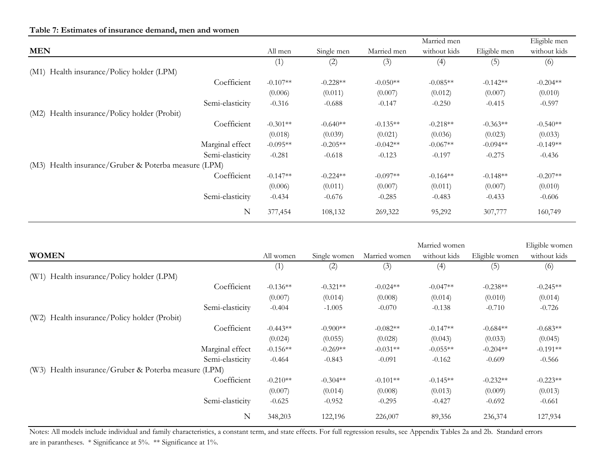|                                                      |            |            |             | Married men  |              | Eligible men |
|------------------------------------------------------|------------|------------|-------------|--------------|--------------|--------------|
| <b>MEN</b>                                           | All men    | Single men | Married men | without kids | Eligible men | without kids |
|                                                      | (1)        | (2)        | (3)         | (4)          | (5)          | (6)          |
| (M1) Health insurance/Policy holder (LPM)            |            |            |             |              |              |              |
| Coefficient                                          | $-0.107**$ | $-0.228**$ | $-0.050**$  | $-0.085**$   | $-0.142**$   | $-0.204**$   |
|                                                      | (0.006)    | (0.011)    | (0.007)     | (0.012)      | (0.007)      | (0.010)      |
| Semi-elasticity                                      | $-0.316$   | $-0.688$   | $-0.147$    | $-0.250$     | $-0.415$     | $-0.597$     |
| Health insurance/Policy holder (Probit)<br>(M2)      |            |            |             |              |              |              |
| Coefficient                                          | $-0.301**$ | $-0.640**$ | $-0.135**$  | $-0.218**$   | $-0.363**$   | $-0.540**$   |
|                                                      | (0.018)    | (0.039)    | (0.021)     | (0.036)      | (0.023)      | (0.033)      |
| Marginal effect                                      | $-0.095**$ | $-0.205**$ | $-0.042**$  | $-0.067**$   | $-0.094**$   | $-0.149**$   |
| Semi-elasticity                                      | $-0.281$   | $-0.618$   | $-0.123$    | $-0.197$     | $-0.275$     | $-0.436$     |
| (M3) Health insurance/Gruber & Poterba measure (LPM) |            |            |             |              |              |              |
| Coefficient                                          | $-0.147**$ | $-0.224**$ | $-0.097**$  | $-0.164**$   | $-0.148**$   | $-0.207**$   |
|                                                      | (0.006)    | (0.011)    | (0.007)     | (0.011)      | (0.007)      | (0.010)      |
| Semi-elasticity                                      | $-0.434$   | $-0.676$   | $-0.285$    | $-0.483$     | $-0.433$     | $-0.606$     |
| N                                                    | 377,454    | 108,132    | 269,322     | 95,292       | 307,777      | 160,749      |

|                                                      |            |              |               | Married women |                | Eligible women |
|------------------------------------------------------|------------|--------------|---------------|---------------|----------------|----------------|
| <b>WOMEN</b>                                         | All women  | Single women | Married women | without kids  | Eligible women | without kids   |
|                                                      | (1)        | (2)          | (3)           | (4)           | (5)            | (6)            |
| (W1) Health insurance/Policy holder (LPM)            |            |              |               |               |                |                |
| Coefficient                                          | $-0.136**$ | $-0.321**$   | $-0.024**$    | $-0.047**$    | $-0.238**$     | $-0.245**$     |
|                                                      | (0.007)    | (0.014)      | (0.008)       | (0.014)       | (0.010)        | (0.014)        |
| Semi-elasticity                                      | $-0.404$   | $-1.005$     | $-0.070$      | $-0.138$      | $-0.710$       | $-0.726$       |
| Health insurance/Policy holder (Probit)<br>(W2)      |            |              |               |               |                |                |
| Coefficient                                          | $-0.443**$ | $-0.900**$   | $-0.082**$    | $-0.147**$    | $-0.684**$     | $-0.683**$     |
|                                                      | (0.024)    | (0.055)      | (0.028)       | (0.043)       | (0.033)        | (0.045)        |
| Marginal effect                                      | $-0.156**$ | $-0.269**$   | $-0.031**$    | $-0.055**$    | $-0.204**$     | $-0.191**$     |
| Semi-elasticity                                      | $-0.464$   | $-0.843$     | $-0.091$      | $-0.162$      | $-0.609$       | $-0.566$       |
| (W3) Health insurance/Gruber & Poterba measure (LPM) |            |              |               |               |                |                |
| Coefficient                                          | $-0.210**$ | $-0.304**$   | $-0.101**$    | $-0.145**$    | $-0.232**$     | $-0.223**$     |
|                                                      | (0.007)    | (0.014)      | (0.008)       | (0.013)       | (0.009)        | (0.013)        |
| Semi-elasticity                                      | $-0.625$   | $-0.952$     | $-0.295$      | $-0.427$      | $-0.692$       | $-0.661$       |
| N                                                    | 348,203    | 122,196      | 226,007       | 89,356        | 236,374        | 127,934        |

Notes: All models include individual and family characteristics, a constant term, and state effects. For full regression results, see Appendix Tables 2a and 2b. Standard errors are in parantheses. \* Significance at 5%. \*\* Significance at 1%.

## **Table 7: Estimates of insurance demand, men and women**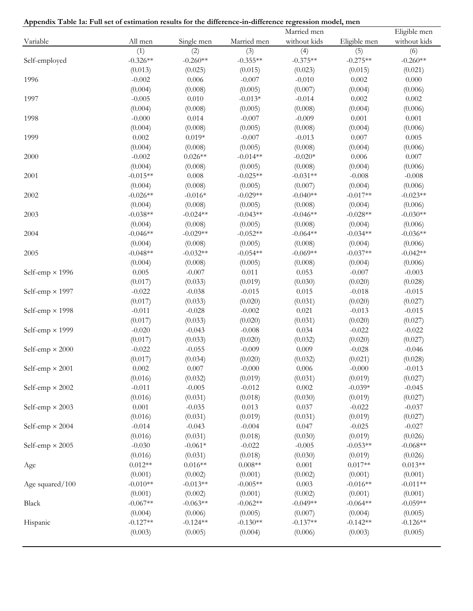|  |  |  |  |  |  | Appendix Table 1a: Full set of estimation results for the difference-in-difference regression model, mer |  |  |
|--|--|--|--|--|--|----------------------------------------------------------------------------------------------------------|--|--|
|  |  |  |  |  |  |                                                                                                          |  |  |

|                        |            |            |             | Married men  |              | Eligible men |
|------------------------|------------|------------|-------------|--------------|--------------|--------------|
| Variable               | All men    | Single men | Married men | without kids | Eligible men | without kids |
|                        | (1)        | (2)        | (3)         | (4)          | (5)          | (6)          |
| Self-employed          | $-0.326**$ | $-0.260**$ | $-0.355**$  | $-0.375**$   | $-0.275**$   | $-0.260**$   |
|                        | (0.013)    | (0.025)    | (0.015)     | (0.023)      | (0.015)      | (0.021)      |
| 1996                   | $-0.002$   | 0.006      | $-0.007$    | $-0.010$     | 0.002        | 0.000        |
|                        | (0.004)    | (0.008)    | (0.005)     | (0.007)      | (0.004)      | (0.006)      |
| 1997                   | $-0.005$   | 0.010      | $-0.013*$   | $-0.014$     | 0.002        | 0.002        |
|                        | (0.004)    | (0.008)    | (0.005)     | (0.008)      | (0.004)      | (0.006)      |
| 1998                   | $-0.000$   | 0.014      | $-0.007$    | $-0.009$     | 0.001        | $0.001\,$    |
|                        | (0.004)    | (0.008)    | (0.005)     | (0.008)      | (0.004)      | (0.006)      |
| 1999                   | 0.002      | $0.019*$   | $-0.007$    | $-0.013$     | 0.007        | 0.005        |
|                        | (0.004)    | (0.008)    | (0.005)     | (0.008)      | (0.004)      | (0.006)      |
| 2000                   | $-0.002$   | $0.026**$  | $-0.014**$  | $-0.020*$    | 0.006        | 0.007        |
|                        | (0.004)    | (0.008)    | (0.005)     | (0.008)      | (0.004)      | (0.006)      |
| 2001                   | $-0.015**$ | 0.008      | $-0.025**$  | $-0.031**$   | $-0.008$     | $-0.008$     |
|                        | (0.004)    | (0.008)    | (0.005)     | (0.007)      | (0.004)      | (0.006)      |
| 2002                   | $-0.026**$ | $-0.016*$  | $-0.029**$  | $-0.040**$   | $-0.017**$   | $-0.023**$   |
|                        | (0.004)    | (0.008)    | (0.005)     | (0.008)      | (0.004)      | (0.006)      |
| 2003                   | $-0.038**$ | $-0.024**$ | $-0.043**$  | $-0.046**$   | $-0.028**$   | $-0.030**$   |
|                        | (0.004)    | (0.008)    | (0.005)     | (0.008)      | (0.004)      | (0.006)      |
| 2004                   | $-0.046**$ | $-0.029**$ | $-0.052**$  | $-0.064**$   | $-0.034**$   | $-0.036**$   |
|                        | (0.004)    | (0.008)    | (0.005)     | (0.008)      | (0.004)      | (0.006)      |
| 2005                   | $-0.048**$ | $-0.032**$ | $-0.054**$  | $-0.069**$   | $-0.037**$   | $-0.042**$   |
|                        | (0.004)    | (0.008)    | (0.005)     | (0.008)      | (0.004)      | (0.006)      |
| Self-emp $\times$ 1996 | 0.005      | $-0.007$   | 0.011       | 0.053        | $-0.007$     | $-0.003$     |
|                        | (0.017)    | (0.033)    | (0.019)     | (0.030)      | (0.020)      | (0.028)      |
| Self-emp $\times$ 1997 | $-0.022$   | $-0.038$   | $-0.015$    | 0.015        | $-0.018$     | $-0.015$     |
|                        | (0.017)    | (0.033)    | (0.020)     | (0.031)      | (0.020)      | (0.027)      |
| Self-emp $\times$ 1998 | $-0.011$   | $-0.028$   | $-0.002$    | 0.021        | $-0.013$     | $-0.015$     |
|                        | (0.017)    | (0.033)    | (0.020)     | (0.031)      | (0.020)      | (0.027)      |
| Self-emp $\times$ 1999 | $-0.020$   | $-0.043$   | $-0.008$    | 0.034        | $-0.022$     | $-0.022$     |
|                        | (0.017)    | (0.033)    | (0.020)     | (0.032)      | (0.020)      | (0.027)      |
| Self-emp $\times 2000$ | $-0.022$   | $-0.055$   | $-0.009$    | 0.009        | $-0.028$     | $-0.046$     |
|                        | (0.017)    | (0.034)    | (0.020)     | (0.032)      | (0.021)      | (0.028)      |
| Self-emp $\times 2001$ | 0.002      | 0.007      | $-0.000$    | 0.006        | $-0.000$     | $-0.013$     |
|                        | (0.016)    | (0.032)    | (0.019)     | (0.031)      | (0.019)      | (0.027)      |
| Self-emp $\times$ 2002 | $-0.011$   | $-0.005$   | $-0.012$    | 0.002        | $-0.039*$    | $-0.045$     |
|                        | (0.016)    | (0.031)    | (0.018)     | (0.030)      | (0.019)      | (0.027)      |
| Self-emp $\times$ 2003 | $0.001\,$  | $-0.035$   | 0.013       | 0.037        | $-0.022$     | $-0.037$     |
|                        | (0.016)    | (0.031)    | (0.019)     | (0.031)      | (0.019)      | (0.027)      |
| Self-emp $\times 2004$ | $-0.014$   | $-0.043$   | $-0.004$    | 0.047        | $-0.025$     | $-0.027$     |
|                        | (0.016)    | (0.031)    | (0.018)     | (0.030)      | (0.019)      | (0.026)      |
| Self-emp $\times$ 2005 | $-0.030$   | $-0.061*$  | $-0.022$    | $-0.005$     | $-0.053**$   | $-0.068**$   |
|                        | (0.016)    | (0.031)    | (0.018)     | (0.030)      | (0.019)      | (0.026)      |
| Age                    | $0.012**$  | $0.016**$  | $0.008**$   | 0.001        | $0.017**$    | $0.013**$    |
|                        | (0.001)    | (0.002)    | (0.001)     | (0.002)      | (0.001)      | (0.001)      |
| Age squared/100        | $-0.010**$ | $-0.013**$ | $-0.005**$  | 0.003        | $-0.016**$   | $-0.011**$   |
|                        | (0.001)    | (0.002)    | (0.001)     | (0.002)      | (0.001)      | (0.001)      |
| Black                  | $-0.067**$ | $-0.063**$ | $-0.062**$  | $-0.049**$   | $-0.064**$   | $-0.059**$   |
|                        | (0.004)    | (0.006)    | (0.005)     | (0.007)      | (0.004)      | (0.005)      |
| Hispanic               | $-0.127**$ | $-0.124**$ | $-0.130**$  | $-0.137**$   | $-0.142**$   | $-0.126**$   |
|                        | (0.003)    | (0.005)    | (0.004)     | (0.006)      | (0.003)      | (0.005)      |
|                        |            |            |             |              |              |              |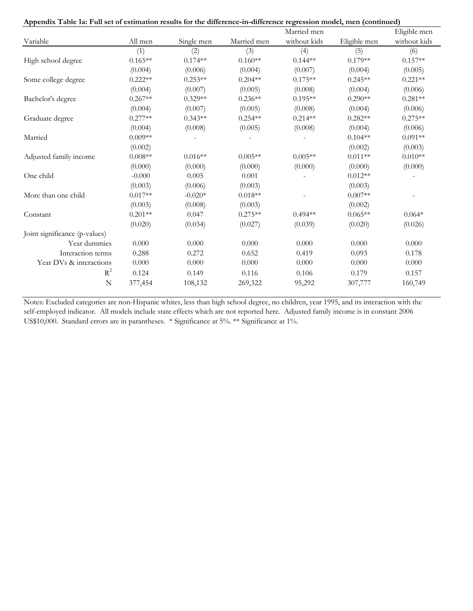|                               |           |            |             | Married men  |              | Eligible men |
|-------------------------------|-----------|------------|-------------|--------------|--------------|--------------|
| Variable                      | All men   | Single men | Married men | without kids | Eligible men | without kids |
|                               | (1)       | (2)        | (3)         | (4)          | (5)          | (6)          |
| High school degree            | $0.165**$ | $0.174**$  | $0.160**$   | $0.144**$    | $0.179**$    | $0.157**$    |
|                               | (0.004)   | (0.006)    | (0.004)     | (0.007)      | (0.004)      | (0.005)      |
| Some college degree           | $0.222**$ | $0.253**$  | $0.204**$   | $0.175**$    | $0.245**$    | $0.221**$    |
|                               | (0.004)   | (0.007)    | (0.005)     | (0.008)      | (0.004)      | (0.006)      |
| Bachelor's degree             | $0.267**$ | $0.329**$  | $0.236**$   | $0.195**$    | $0.290**$    | $0.281**$    |
|                               | (0.004)   | (0.007)    | (0.005)     | (0.008)      | (0.004)      | (0.006)      |
| Graduate degree               | $0.277**$ | $0.343**$  | $0.254**$   | $0.214**$    | $0.282**$    | $0.275**$    |
|                               | (0.004)   | (0.008)    | (0.005)     | (0.008)      | (0.004)      | (0.006)      |
| Married                       | $0.009**$ |            |             |              | $0.104**$    | $0.091**$    |
|                               | (0.002)   |            |             |              | (0.002)      | (0.003)      |
| Adjusted family income        | $0.008**$ | $0.016**$  | $0.005**$   | $0.005**$    | $0.011**$    | $0.010**$    |
|                               | (0.000)   | (0.000)    | (0.000)     | (0.000)      | (0.000)      | (0.000)      |
| One child                     | $-0.000$  | 0.005      | 0.001       |              | $0.012**$    |              |
|                               | (0.003)   | (0.006)    | (0.003)     |              | (0.003)      |              |
| More than one child           | $0.017**$ | $-0.020*$  | $0.018**$   |              | $0.007**$    |              |
|                               | (0.003)   | (0.008)    | (0.003)     |              | (0.002)      |              |
| Constant                      | $0.201**$ | 0.047      | $0.275**$   | $0.494**$    | $0.065**$    | $0.064*$     |
|                               | (0.020)   | (0.034)    | (0.027)     | (0.039)      | (0.020)      | (0.026)      |
| Joint significance (p-values) |           |            |             |              |              |              |
| Year dummies                  | 0.000     | 0.000      | 0.000       | 0.000        | 0.000        | 0.000        |
| Interaction terms             | 0.288     | 0.272      | 0.652       | 0.419        | 0.093        | 0.178        |
| Year DVs & interactions       | 0.000     | 0.000      | $0.000\,$   | 0.000        | 0.000        | 0.000        |
| $R^2$                         | 0.124     | 0.149      | 0.116       | 0.106        | 0.179        | 0.157        |
| $\mathbf N$                   | 377,454   | 108,132    | 269,322     | 95,292       | 307,777      | 160,749      |

US\$10,000. Standard errors are in parantheses. \* Significance at 5%. \*\* Significance at 1%. self-employed indicator. All models include state effects which are not reported here. Adjusted family income is in constant 2006 Notes: Excluded categories are non-Hispanic whites, less than high school degree, no children, year 1995, and its interaction with the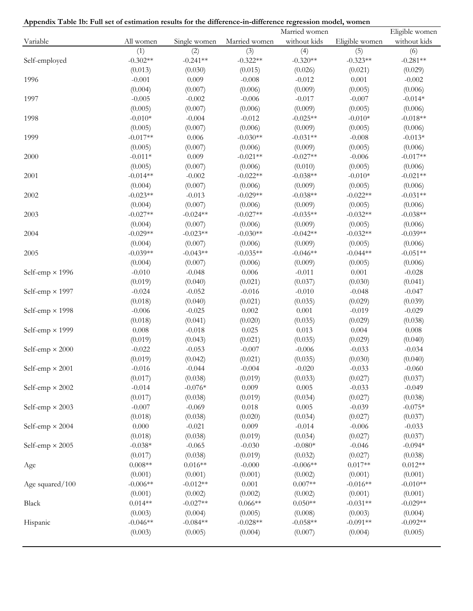| Appendix Table 1b: Full set of estimation results for the difference-in-difference regression model, women |
|------------------------------------------------------------------------------------------------------------|
|------------------------------------------------------------------------------------------------------------|

|                        |            |              |               | Married women |                | Eligible women |
|------------------------|------------|--------------|---------------|---------------|----------------|----------------|
| Variable               | All women  | Single women | Married women | without kids  | Eligible women | without kids   |
|                        | (1)        | (2)          | (3)           | (4)           | (5)            | (6)            |
| Self-employed          | $-0.302**$ | $-0.241**$   | $-0.322**$    | $-0.320**$    | $-0.323**$     | $-0.281**$     |
|                        | (0.013)    | (0.030)      | (0.015)       | (0.026)       | (0.021)        | (0.029)        |
| 1996                   | $-0.001$   | 0.009        | $-0.008$      | $-0.012$      | 0.001          | $-0.002$       |
|                        | (0.004)    | (0.007)      | (0.006)       | (0.009)       | (0.005)        | (0.006)        |
| 1997                   | $-0.005$   | $-0.002$     | $-0.006$      | $-0.017$      | $-0.007$       | $-0.014*$      |
|                        | (0.005)    | (0.007)      | (0.006)       | (0.009)       | (0.005)        | (0.006)        |
| 1998                   | $-0.010*$  | $-0.004$     | $-0.012$      | $-0.025**$    | $-0.010*$      | $-0.018**$     |
|                        | (0.005)    | (0.007)      | (0.006)       | (0.009)       | (0.005)        | (0.006)        |
| 1999                   | $-0.017**$ | 0.006        | $-0.030**$    | $-0.031**$    | $-0.008$       | $-0.013*$      |
|                        | (0.005)    | (0.007)      | (0.006)       | (0.009)       | (0.005)        | (0.006)        |
| 2000                   | $-0.011*$  | 0.009        | $-0.021**$    | $-0.027**$    | $-0.006$       | $-0.017**$     |
|                        | (0.005)    | (0.007)      | (0.006)       | (0.010)       | (0.005)        | (0.006)        |
| 2001                   | $-0.014**$ | $-0.002$     | $-0.022**$    | $-0.038**$    | $-0.010*$      | $-0.021**$     |
|                        | (0.004)    | (0.007)      | (0.006)       | (0.009)       | (0.005)        | (0.006)        |
| 2002                   | $-0.023**$ | $-0.013$     | $-0.029**$    | $-0.038**$    | $-0.022**$     | $-0.031**$     |
|                        | (0.004)    | (0.007)      | (0.006)       | (0.009)       | (0.005)        | (0.006)        |
| 2003                   | $-0.027**$ | $-0.024**$   | $-0.027**$    | $-0.035**$    | $-0.032**$     | $-0.038**$     |
|                        | (0.004)    | (0.007)      | (0.006)       | (0.009)       | (0.005)        | (0.006)        |
| 2004                   | $-0.029**$ | $-0.023**$   | $-0.030**$    | $-0.042**$    | $-0.032**$     | $-0.039**$     |
|                        | (0.004)    | (0.007)      | (0.006)       | (0.009)       | (0.005)        | (0.006)        |
| 2005                   | $-0.039**$ | $-0.043**$   | $-0.035**$    | $-0.046**$    | $-0.044**$     | $-0.051**$     |
|                        | (0.004)    | (0.007)      | (0.006)       | (0.009)       | (0.005)        | (0.006)        |
| Self-emp $\times$ 1996 | $-0.010$   | $-0.048$     | 0.006         | $-0.011$      | 0.001          | $-0.028$       |
|                        | (0.019)    | (0.040)      | (0.021)       | (0.037)       | (0.030)        | (0.041)        |
| Self-emp $\times$ 1997 | $-0.024$   | $-0.052$     | $-0.016$      | $-0.010$      | $-0.048$       | $-0.047$       |
|                        | (0.018)    | (0.040)      | (0.021)       | (0.035)       | (0.029)        | (0.039)        |
| Self-emp $\times$ 1998 | $-0.006$   | $-0.025$     | 0.002         | 0.001         | $-0.019$       | $-0.029$       |
|                        | (0.018)    | (0.041)      | (0.020)       | (0.035)       | (0.029)        | (0.038)        |
| Self-emp $\times$ 1999 | 0.008      | $-0.018$     | 0.025         | 0.013         | 0.004          | 0.008          |
|                        | (0.019)    | (0.043)      | (0.021)       | (0.035)       | (0.029)        | (0.040)        |
| Self-emp $\times 2000$ | $-0.022$   | $-0.053$     | $-0.007$      | $-0.006$      | $-0.033$       | $-0.034$       |
|                        | (0.019)    | (0.042)      | (0.021)       | (0.035)       | (0.030)        | (0.040)        |
| Self-emp $\times$ 2001 | $-0.016$   | $-0.044$     | $-0.004$      | $-0.020$      | $-0.033$       | $-0.060$       |
|                        | (0.017)    | (0.038)      | (0.019)       | (0.033)       | (0.027)        | (0.037)        |
| Self-emp $\times 2002$ | $-0.014$   | $-0.076*$    | 0.009         | 0.005         | $-0.033$       | $-0.049$       |
|                        | (0.017)    | (0.038)      | (0.019)       | (0.034)       | (0.027)        | (0.038)        |
| Self-emp $\times$ 2003 | $-0.007$   | $-0.069$     | 0.018         | 0.005         | $-0.039$       | $-0.075*$      |
|                        | (0.018)    | (0.038)      | (0.020)       | (0.034)       | (0.027)        | (0.037)        |
| Self-emp $\times$ 2004 | 0.000      | $-0.021$     | 0.009         | $-0.014$      | $-0.006$       | $-0.033$       |
|                        | (0.018)    | (0.038)      | (0.019)       | (0.034)       | (0.027)        | (0.037)        |
| Self-emp $\times$ 2005 | $-0.038*$  | $-0.065$     | $-0.030$      | $-0.080*$     | $-0.046$       | $-0.094*$      |
|                        | (0.017)    | (0.038)      | (0.019)       | (0.032)       | (0.027)        | (0.038)        |
| Age                    | $0.008**$  | $0.016**$    | $-0.000$      | $-0.006**$    | $0.017**$      | $0.012**$      |
|                        | (0.001)    | (0.001)      | (0.001)       | (0.002)       | (0.001)        | (0.001)        |
| Age squared/100        | $-0.006**$ | $-0.012**$   | 0.001         | $0.007**$     | $-0.016**$     | $-0.010**$     |
|                        | (0.001)    | (0.002)      | (0.002)       | (0.002)       | (0.001)        | (0.001)        |
| Black                  | $0.014**$  | $-0.027**$   | $0.066**$     | $0.050**$     | $-0.031**$     | $-0.029**$     |
|                        | (0.003)    | (0.004)      | (0.005)       | (0.008)       | (0.003)        | (0.004)        |
| Hispanic               | $-0.046**$ | $-0.084**$   | $-0.028**$    | $-0.058**$    | $-0.091**$     | $-0.092**$     |
|                        | (0.003)    | (0.005)      | (0.004)       | (0.007)       | (0.004)        | (0.005)        |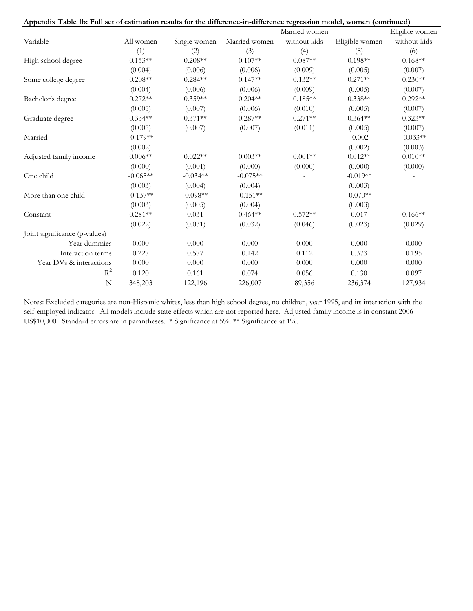|  |  |  |  | Appendix Table 1b: Full set of estimation results for the difference-in-difference regression model, women (continued) |  |  |
|--|--|--|--|------------------------------------------------------------------------------------------------------------------------|--|--|
|  |  |  |  |                                                                                                                        |  |  |

|                               |            |              |               | Married women |                | Eligible women |
|-------------------------------|------------|--------------|---------------|---------------|----------------|----------------|
| Variable                      | All women  | Single women | Married women | without kids  | Eligible women | without kids   |
|                               | (1)        | (2)          | (3)           | (4)           | (5)            | (6)            |
| High school degree            | $0.153**$  | $0.208**$    | $0.107**$     | $0.087**$     | $0.198**$      | $0.168**$      |
|                               | (0.004)    | (0.006)      | (0.006)       | (0.009)       | (0.005)        | (0.007)        |
| Some college degree           | $0.208**$  | $0.284**$    | $0.147**$     | $0.132**$     | $0.271**$      | $0.230**$      |
|                               | (0.004)    | (0.006)      | (0.006)       | (0.009)       | (0.005)        | (0.007)        |
| Bachelor's degree             | $0.272**$  | $0.359**$    | $0.204**$     | $0.185**$     | $0.338**$      | $0.292**$      |
|                               | (0.005)    | (0.007)      | (0.006)       | (0.010)       | (0.005)        | (0.007)        |
| Graduate degree               | $0.334**$  | $0.371**$    | $0.287**$     | $0.271**$     | $0.364**$      | $0.323**$      |
|                               | (0.005)    | (0.007)      | (0.007)       | (0.011)       | (0.005)        | (0.007)        |
| Married                       | $-0.179**$ |              |               |               | $-0.002$       | $-0.033**$     |
|                               | (0.002)    |              |               |               | (0.002)        | (0.003)        |
| Adjusted family income        | $0.006**$  | $0.022**$    | $0.003**$     | $0.001**$     | $0.012**$      | $0.010**$      |
|                               | (0.000)    | (0.001)      | (0.000)       | (0.000)       | (0.000)        | (0.000)        |
| One child                     | $-0.065**$ | $-0.034**$   | $-0.075**$    |               | $-0.019**$     |                |
|                               | (0.003)    | (0.004)      | (0.004)       |               | (0.003)        |                |
| More than one child           | $-0.137**$ | $-0.098**$   | $-0.151**$    |               | $-0.070**$     |                |
|                               | (0.003)    | (0.005)      | (0.004)       |               | (0.003)        |                |
| Constant                      | $0.281**$  | 0.031        | $0.464**$     | $0.572**$     | 0.017          | $0.166**$      |
|                               | (0.022)    | (0.031)      | (0.032)       | (0.046)       | (0.023)        | (0.029)        |
| Joint significance (p-values) |            |              |               |               |                |                |
| Year dummies                  | 0.000      | 0.000        | 0.000         | 0.000         | 0.000          | 0.000          |
| Interaction terms             | 0.227      | 0.577        | 0.142         | 0.112         | 0.373          | 0.195          |
| Year DVs & interactions       | $0.000\,$  | 0.000        | 0.000         | 0.000         | 0.000          | 0.000          |
| $R^2$                         | 0.120      | 0.161        | 0.074         | 0.056         | 0.130          | 0.097          |
| $\mathbf N$                   | 348,203    | 122,196      | 226,007       | 89,356        | 236,374        | 127,934        |

US\$10,000. Standard errors are in parantheses. \* Significance at 5%. \*\* Significance at 1%. self-employed indicator. All models include state effects which are not reported here. Adjusted family income is in constant 2006 Notes: Excluded categories are non-Hispanic whites, less than high school degree, no children, year 1995, and its interaction with the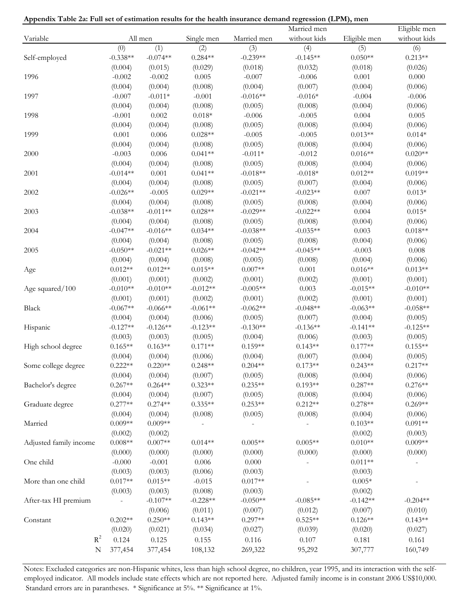|                        |            |                     |                      |             | Married men  |              | Eligible men |
|------------------------|------------|---------------------|----------------------|-------------|--------------|--------------|--------------|
| Variable               |            | All men             | Single men           | Married men | without kids | Eligible men | without kids |
|                        | (0)        | (1)                 | (2)                  | (3)         | (4)          | (5)          | (6)          |
| Self-employed          | $-0.338**$ | $-0.074**$          | $0.284**$            | $-0.239**$  | $-0.145**$   | $0.050**$    | $0.213**$    |
|                        | (0.004)    | (0.015)             | (0.029)              | (0.018)     | (0.032)      | (0.018)      | (0.026)      |
| 1996                   | $-0.002$   | $-0.002$            | 0.005                | $-0.007$    | $-0.006$     | 0.001        | 0.000        |
|                        | (0.004)    | (0.004)             | (0.008)              | (0.004)     | (0.007)      | (0.004)      | (0.006)      |
| 1997                   | $-0.007$   | $-0.011*$           | $-0.001$             | $-0.016**$  | $-0.016*$    | $-0.004$     | $-0.006$     |
|                        | (0.004)    | (0.004)             | (0.008)              | (0.005)     | (0.008)      | (0.004)      | (0.006)      |
| 1998                   | $-0.001$   | 0.002               | $0.018*$             | $-0.006$    | $-0.005$     | 0.004        | 0.005        |
|                        | (0.004)    | (0.004)             | (0.008)              | (0.005)     | (0.008)      | (0.004)      | (0.006)      |
| 1999                   | 0.001      | 0.006               | $0.028**$            | $-0.005$    | $-0.005$     | $0.013**$    | $0.014*$     |
|                        | (0.004)    | (0.004)             | (0.008)              | (0.005)     | (0.008)      | (0.004)      | (0.006)      |
| 2000                   | $-0.003$   | 0.006               | $0.041**$            | $-0.011*$   | $-0.012$     | $0.016**$    | $0.020**$    |
|                        | (0.004)    | (0.004)             | (0.008)              | (0.005)     | (0.008)      | (0.004)      | (0.006)      |
| 2001                   | $-0.014**$ | 0.001               | $0.041**$            | $-0.018**$  | $-0.018*$    | $0.012**$    | $0.019**$    |
|                        | (0.004)    | (0.004)             | (0.008)              | (0.005)     | (0.007)      | (0.004)      | (0.006)      |
| 2002                   | $-0.026**$ | $-0.005$            | $0.029**$            | $-0.021**$  | $-0.023**$   | 0.007        | $0.013*$     |
|                        | (0.004)    | (0.004)             | (0.008)              | (0.005)     | (0.008)      | (0.004)      | (0.006)      |
| 2003                   | $-0.038**$ | $-0.011**$          | $0.028**$            | $-0.029**$  | $-0.022**$   | 0.004        | $0.015*$     |
|                        | (0.004)    | (0.004)             | (0.008)              | (0.005)     | (0.008)      | (0.004)      | (0.006)      |
| 2004                   | $-0.047**$ | $-0.016**$          | $0.034**$            | $-0.038**$  | $-0.035**$   | 0.003        | $0.018**$    |
|                        | (0.004)    | (0.004)             | (0.008)              | (0.005)     | (0.008)      | (0.004)      | (0.006)      |
| 2005                   | $-0.050**$ | $-0.021**$          | $0.026**$            | $-0.042**$  | $-0.045**$   | $-0.003$     | 0.008        |
|                        | (0.004)    | (0.004)             | (0.008)              | (0.005)     | (0.008)      | (0.004)      | (0.006)      |
| Age                    | $0.012**$  | $0.012**$           | $0.015**$            | $0.007**$   | 0.001        | $0.016**$    | $0.013**$    |
|                        | (0.001)    | (0.001)             | (0.002)              | (0.001)     | (0.002)      | (0.001)      | (0.001)      |
| Age squared/100        | $-0.010**$ | $-0.010**$          | $-0.012**$           | $-0.005**$  | 0.003        | $-0.015**$   | $-0.010**$   |
|                        | (0.001)    | (0.001)             | (0.002)              | (0.001)     | (0.002)      | (0.001)      | (0.001)      |
| Black                  | $-0.067**$ | $-0.066**$          | $-0.061**$           | $-0.062**$  | $-0.048**$   | $-0.063**$   | $-0.058**$   |
|                        | (0.004)    | (0.004)             | (0.006)              | (0.005)     | (0.007)      | (0.004)      | (0.005)      |
| Hispanic               | $-0.127**$ | $-0.126**$          | $-0.123**$           | $-0.130**$  | $-0.136**$   | $-0.141**$   | $-0.125**$   |
|                        | (0.003)    | (0.003)             | (0.005)              | (0.004)     | (0.006)      | (0.003)      | (0.005)      |
| High school degree     | $0.165**$  | $0.163**$           | $0.171**$            | $0.159**$   | $0.143**$    | $0.177**$    | $0.155**$    |
|                        | (0.004)    | (0.004)             | (0.006)              | (0.004)     | (0.007)      | (0.004)      | (0.005)      |
| Some college degree    | $0.222**$  | $0.220**$           | $0.248**$            | $0.204**$   | $0.173**$    | $0.243**$    | $0.217**$    |
|                        | (0.004)    | (0.004)             | (0.007)              | (0.005)     | (0.008)      | (0.004)      | (0.006)      |
| Bachelor's degree      | $0.267**$  | $0.264**$           | $0.323**$            | $0.235**$   | $0.193**$    | $0.287**$    | $0.276**$    |
|                        | (0.004)    | (0.004)             | (0.007)              | (0.005)     | (0.008)      | (0.004)      | (0.006)      |
| Graduate degree        | $0.277**$  | $0.274**$           | $0.335**$            | $0.253**$   | $0.212**$    | $0.278**$    | $0.269**$    |
|                        | (0.004)    | (0.004)             | (0.008)              | (0.005)     | (0.008)      | (0.004)      | (0.006)      |
| Married                | $0.009**$  | $0.009**$           |                      |             |              | $0.103**$    | $0.091**$    |
|                        | (0.002)    | (0.002)             |                      |             |              | (0.002)      | (0.003)      |
| Adjusted family income | $0.008**$  | $0.007**$           | $0.014**$            | $0.005**$   | $0.005**$    | $0.010**$    | $0.009**$    |
|                        | (0.000)    |                     |                      | (0.000)     | (0.000)      | (0.000)      | (0.000)      |
| One child              | $-0.000$   | (0.000)<br>$-0.001$ | (0.000)<br>$0.006\,$ | 0.000       |              | $0.011**$    |              |
|                        | (0.003)    | (0.003)             | (0.006)              | (0.003)     |              | (0.003)      |              |
| More than one child    | $0.017**$  | $0.015**$           | $-0.015$             | $0.017**$   |              | $0.005*$     |              |
|                        |            |                     |                      |             |              |              |              |
|                        | (0.003)    | (0.003)             | (0.008)              | (0.003)     |              | (0.002)      |              |
| After-tax HI premium   |            | $-0.107**$          | $-0.228**$           | $-0.050**$  | $-0.085**$   | $-0.142**$   | $-0.204**$   |
|                        |            | (0.006)             | (0.011)              | (0.007)     | (0.012)      | (0.007)      | (0.010)      |
| Constant               | $0.202**$  | $0.250**$           | $0.143**$            | $0.297**$   | $0.525**$    | $0.126**$    | $0.143**$    |
|                        | (0.020)    | (0.021)             | (0.034)              | (0.027)     | (0.039)      | (0.020)      | (0.027)      |
| $R^2$                  | 0.124      | 0.125               | 0.155                | 0.116       | 0.107        | 0.181        | 0.161        |
| $\mathbf N$            | 377,454    | 377,454             | 108,132              | 269,322     | 95,292       | 307,777      | 160,749      |

**Appendix Table 2a: Full set of estimation results for the health insurance demand regression (LPM), men**

 Standard errors are in parantheses. \* Significance at 5%. \*\* Significance at 1%. employed indicator. All models include state effects which are not reported here. Adjusted family income is in constant 2006 US\$10,000. Notes: Excluded categories are non-Hispanic whites, less than high school degree, no children, year 1995, and its interaction with the self-